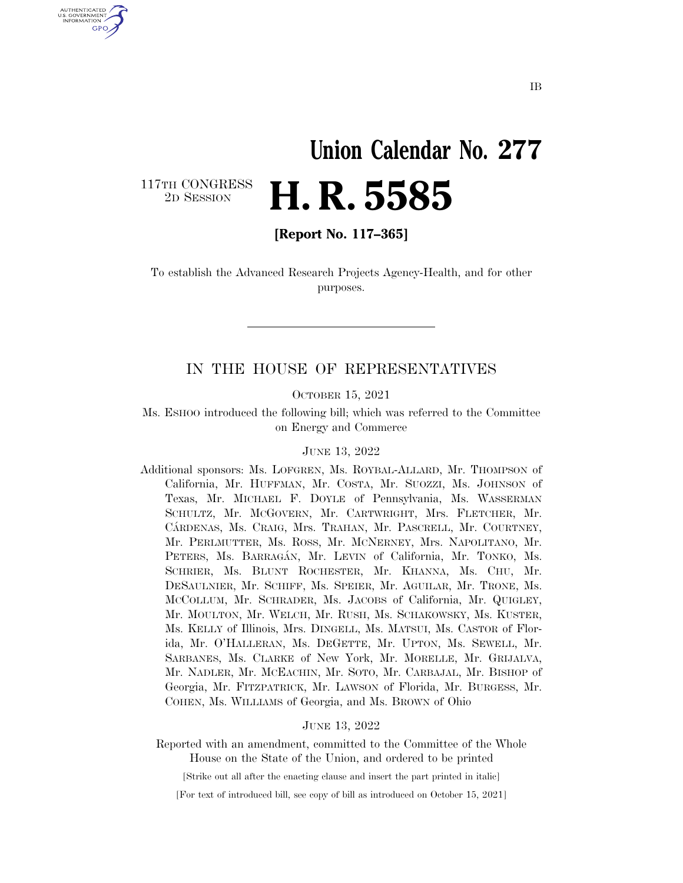## **Union Calendar No. 277**  2D SESSION **H. R. 5585**

117TH CONGRESS<br>2D SESSION

U.S. GOVERNMENT GPO

**[Report No. 117–365]** 

To establish the Advanced Research Projects Agency-Health, and for other purposes.

### IN THE HOUSE OF REPRESENTATIVES

OCTOBER 15, 2021

Ms. ESHOO introduced the following bill; which was referred to the Committee on Energy and Commerce

#### JUNE 13, 2022

Additional sponsors: Ms. LOFGREN, Ms. ROYBAL-ALLARD, Mr. THOMPSON of California, Mr. HUFFMAN, Mr. COSTA, Mr. SUOZZI, Ms. JOHNSON of Texas, Mr. MICHAEL F. DOYLE of Pennsylvania, Ms. WASSERMAN SCHULTZ, Mr. MCGOVERN, Mr. CARTWRIGHT, Mrs. FLETCHER, Mr. CA´RDENAS, Ms. CRAIG, Mrs. TRAHAN, Mr. PASCRELL, Mr. COURTNEY, Mr. PERLMUTTER, Ms. ROSS, Mr. MCNERNEY, Mrs. NAPOLITANO, Mr. PETERS, Ms. BARRAGÁN, Mr. LEVIN of California, Mr. TONKO, Ms. SCHRIER, Ms. BLUNT ROCHESTER, Mr. KHANNA, Ms. CHU, Mr. DESAULNIER, Mr. SCHIFF, Ms. SPEIER, Mr. AGUILAR, Mr. TRONE, Ms. MCCOLLUM, Mr. SCHRADER, Ms. JACOBS of California, Mr. QUIGLEY, Mr. MOULTON, Mr. WELCH, Mr. RUSH, Ms. SCHAKOWSKY, Ms. KUSTER, Ms. KELLY of Illinois, Mrs. DINGELL, Ms. MATSUI, Ms. CASTOR of Florida, Mr. O'HALLERAN, Ms. DEGETTE, Mr. UPTON, Ms. SEWELL, Mr. SARBANES, Ms. CLARKE of New York, Mr. MORELLE, Mr. GRIJALVA, Mr. NADLER, Mr. MCEACHIN, Mr. SOTO, Mr. CARBAJAL, Mr. BISHOP of Georgia, Mr. FITZPATRICK, Mr. LAWSON of Florida, Mr. BURGESS, Mr. COHEN, Ms. WILLIAMS of Georgia, and Ms. BROWN of Ohio

#### JUNE 13, 2022

Reported with an amendment, committed to the Committee of the Whole House on the State of the Union, and ordered to be printed

[Strike out all after the enacting clause and insert the part printed in italic]

[For text of introduced bill, see copy of bill as introduced on October 15, 2021]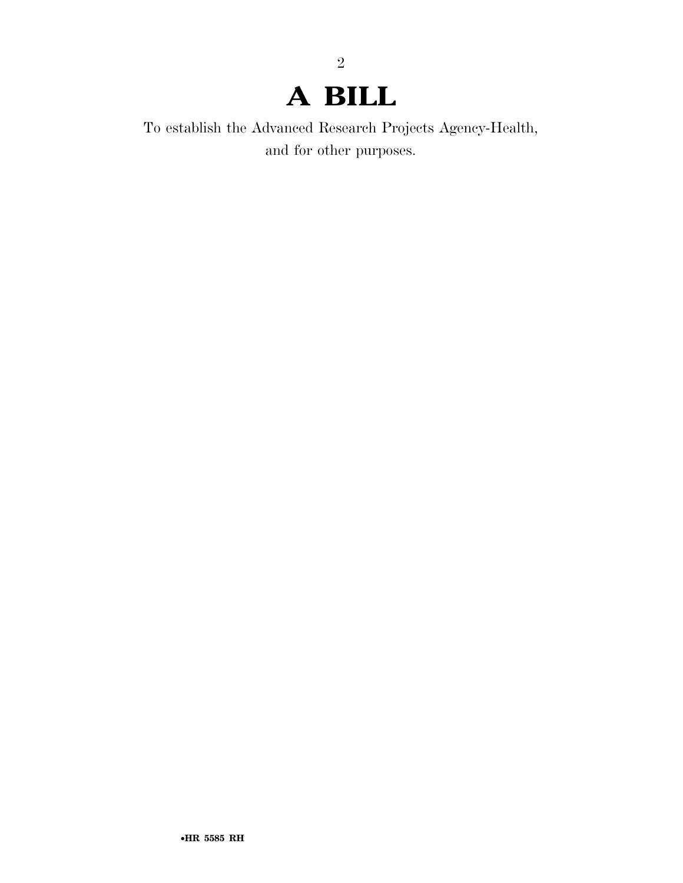### **A BILL**

2

To establish the Advanced Research Projects Agency-Health, and for other purposes.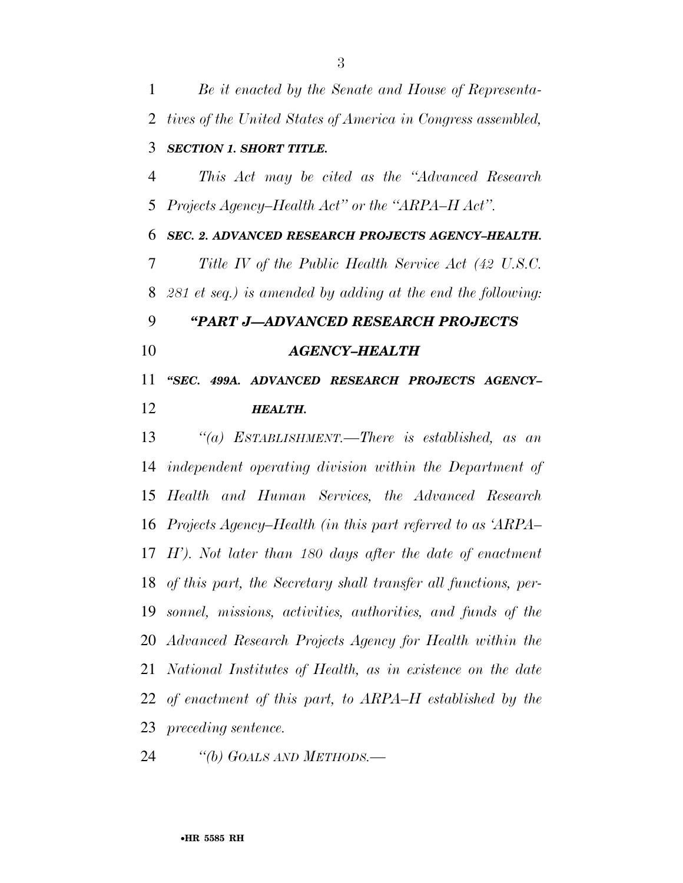*Be it enacted by the Senate and House of Representa- tives of the United States of America in Congress assembled, SECTION 1. SHORT TITLE. This Act may be cited as the ''Advanced Research Projects Agency–Health Act'' or the ''ARPA–H Act''. SEC. 2. ADVANCED RESEARCH PROJECTS AGENCY–HEALTH. Title IV of the Public Health Service Act (42 U.S.C. 281 et seq.) is amended by adding at the end the following: ''PART J—ADVANCED RESEARCH PROJECTS AGENCY–HEALTH ''SEC. 499A. ADVANCED RESEARCH PROJECTS AGENCY– HEALTH. ''(a) ESTABLISHMENT.—There is established, as an independent operating division within the Department of Health and Human Services, the Advanced Research Projects Agency–Health (in this part referred to as 'ARPA– H'). Not later than 180 days after the date of enactment of this part, the Secretary shall transfer all functions, per- sonnel, missions, activities, authorities, and funds of the Advanced Research Projects Agency for Health within the National Institutes of Health, as in existence on the date* 

 *of enactment of this part, to ARPA–H established by the preceding sentence.* 

*''(b) GOALS AND METHODS.—*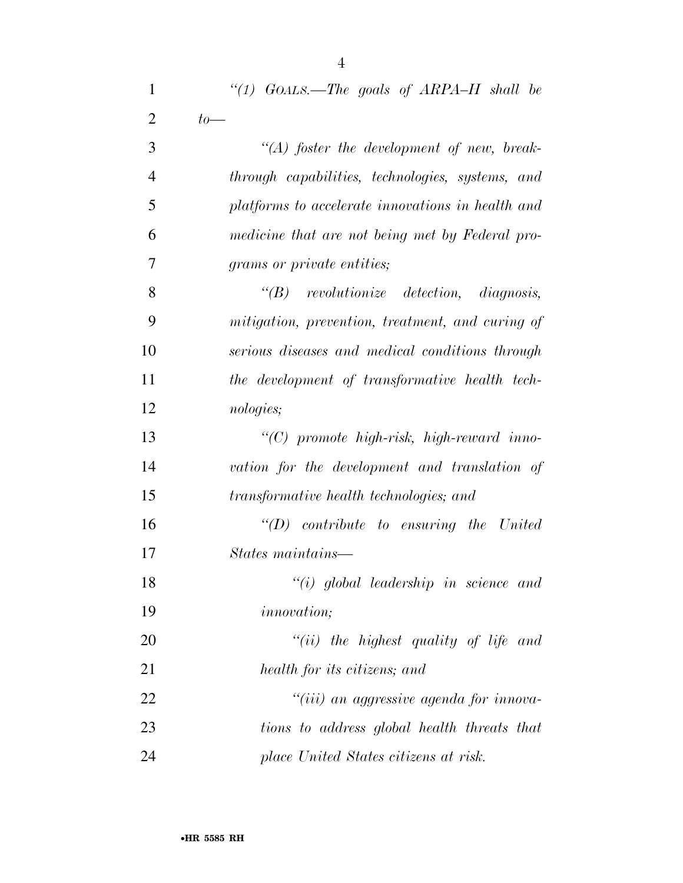| $\mathbf{1}$   | "(1) $GOALS$ —The goals of $ARPA-H$ shall be      |
|----------------|---------------------------------------------------|
| $\overline{2}$ | $to-$                                             |
| 3              | $\lq (A)$ foster the development of new, break-   |
| $\overline{4}$ | through capabilities, technologies, systems, and  |
| 5              | platforms to accelerate innovations in health and |
| 6              | medicine that are not being met by Federal pro-   |
| 7              | grams or private entities;                        |
| 8              | $\lq\lq B$ revolutionize detection, diagnosis,    |
| 9              | mitigation, prevention, treatment, and curing of  |
| 10             | serious diseases and medical conditions through   |
| 11             | the development of transformative health tech-    |
| 12             | <i>nologies</i> ;                                 |
| 13             | $\lq\lq C$ promote high-risk, high-reward inno-   |
| 14             | vation for the development and translation of     |
| 15             | transformative health technologies; and           |
| 16             | $"(D)$ contribute to ensuring the United          |
| 17             | States maintains—                                 |
| 18             | $``(i)$ global leadership in science and          |
| 19             | <i>innovation</i> ;                               |
| 20             | "(ii) the highest quality of life and             |
| 21             | health for its citizens; and                      |
| 22             | "(iii) an aggressive agenda for innova-           |
| 23             | tions to address global health threats that       |
| 24             | place United States citizens at risk.             |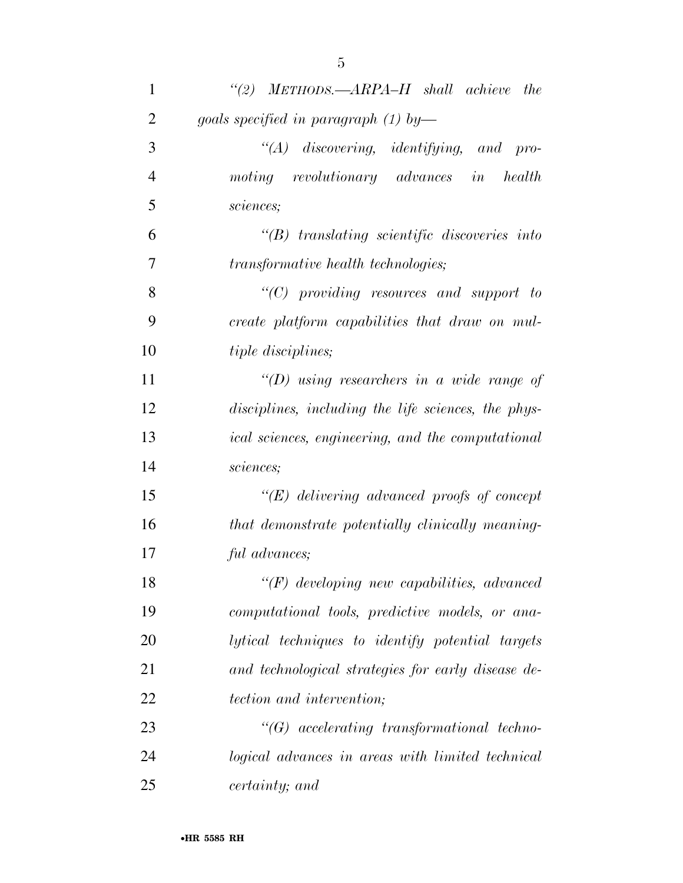| 1              | "(2) $METHODS. - ARPA-H$ shall achieve the               |
|----------------|----------------------------------------------------------|
| $\overline{2}$ | goals specified in paragraph $(1)$ by-                   |
| 3              | $\lq\lq (A)$ discovering, identifying, and<br>$pro-$     |
| $\overline{4}$ | moting revolutionary advances in<br>health               |
| 5              | sciences;                                                |
| 6              | $\lq\lq B$ translating scientific discoveries into       |
| 7              | <i>transformative health technologies;</i>               |
| 8              | $"$ (C) providing resources and support to               |
| 9              | create platform capabilities that draw on mul-           |
| 10             | <i>tiple disciplines</i> ;                               |
| 11             | "(D) using researchers in a wide range of                |
| 12             | disciplines, including the life sciences, the phys-      |
| 13             | <i>ical sciences, engineering, and the computational</i> |
| 14             | sciences;                                                |
| 15             | $\lq\lq (E)$ delivering advanced proofs of concept       |
| 16             | that demonstrate potentially clinically meaning-         |
| 17             | ful advances;                                            |
| 18             | $\lq\lq(F)$ developing new capabilities, advanced        |
| 19             | computational tools, predictive models, or ana-          |
| 20             | lytical techniques to identify potential targets         |
| 21             | and technological strategies for early disease de-       |
| 22             | <i>tection and intervention;</i>                         |
| 23             | $\lq\lq G$ accelerating transformational techno-         |
| 24             | logical advances in areas with limited technical         |
| 25             | certainty; and                                           |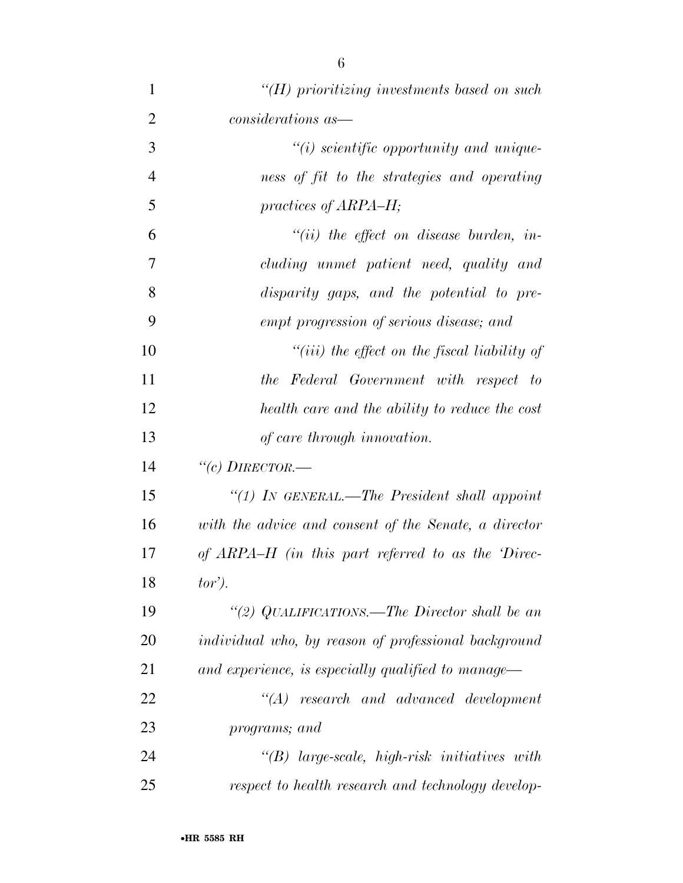| 1              | $H$ ) prioritizing investments based on such          |
|----------------|-------------------------------------------------------|
| $\overline{2}$ | considerations as—                                    |
| 3              | $\tilde{f}(i)$ scientific opportunity and unique-     |
| $\overline{4}$ | ness of fit to the strategies and operating           |
| 5              | practices of ARPA–H;                                  |
| 6              | $``(ii)$ the effect on disease burden, in-            |
| 7              | cluding unmet patient need, quality and               |
| 8              | disparity gaps, and the potential to pre-             |
| 9              | empt progression of serious disease; and              |
| 10             | $``(iii)$ the effect on the fiscal liability of       |
| 11             | the Federal Government with respect to                |
| 12             | health care and the ability to reduce the cost        |
| 13             | of care through innovation.                           |
| 14             | "(c) DIRECTOR.-                                       |
| 15             | "(1) IN GENERAL.—The President shall appoint          |
| 16             | with the advice and consent of the Senate, a director |
| 17             | of ARPA–H (in this part referred to as the Direc-     |
| 18             | $tor$ ).                                              |
| 19             | "(2) QUALIFICATIONS.—The Director shall be an         |
| 20             | individual who, by reason of professional background  |
| 21             | and experience, is especially qualified to manage—    |
| 22             | $"(A)$ research and advanced development              |
| 23             | programs; and                                         |
| 24             | $\lq\lq B$ large-scale, high-risk initiatives with    |
| 25             | respect to health research and technology develop-    |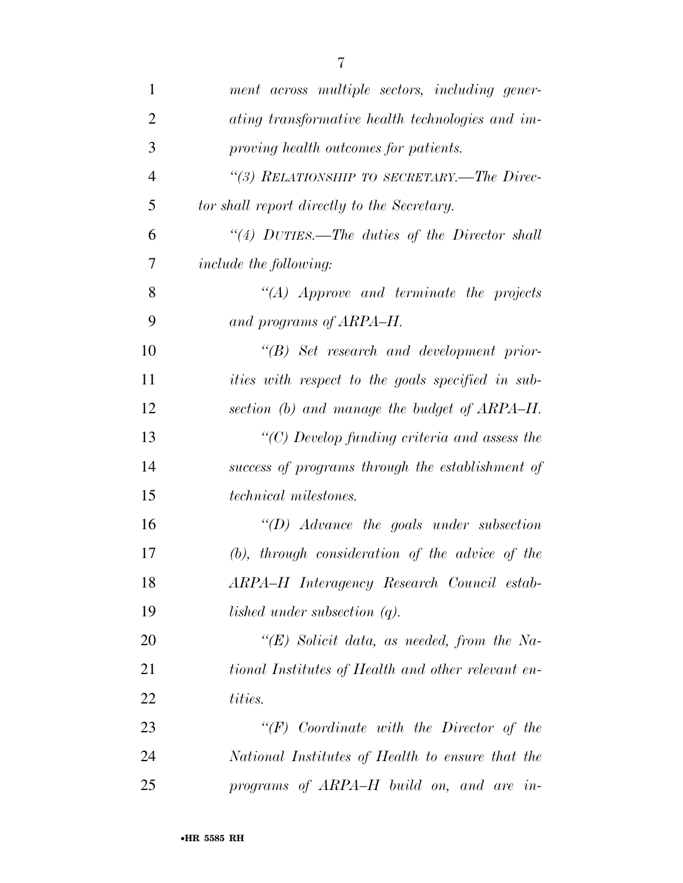| $\mathbf{1}$   | ment across multiple sectors, including gener-           |
|----------------|----------------------------------------------------------|
| $\overline{2}$ | ating transformative health technologies and im-         |
| 3              | proving health outcomes for patients.                    |
| $\overline{4}$ | "(3) RELATIONSHIP TO SECRETARY.—The Direc-               |
| 5              | tor shall report directly to the Secretary.              |
| 6              | "(4) $DUTIES.$ —The duties of the Director shall         |
| 7              | <i>include the following:</i>                            |
| 8              | $\lq\lq (A)$ Approve and terminate the projects          |
| 9              | and programs of ARPA-H.                                  |
| 10             | $\lq\lq B$ ) Set research and development prior-         |
| 11             | <i>ities with respect to the goals specified in sub-</i> |
| 12             | section (b) and manage the budget of ARPA–H.             |
| 13             | $\lq\lq$ (C) Develop funding criteria and assess the     |
| 14             | success of programs through the establishment of         |
| 15             | <i>technical milestones.</i>                             |
| 16             | $\lq (D)$ Advance the goals under subsection             |
| 17             | $(b)$ , through consideration of the advice of the       |
| 18             | ARPA-H Interagency Research Council estab-               |
| 19             | lished under subsection $(q)$ .                          |
| 20             | " $(E)$ Solicit data, as needed, from the Na-            |
| 21             | tional Institutes of Health and other relevant en-       |
| 22             | tities.                                                  |
| 23             | $``(F)$ Coordinate with the Director of the              |
| 24             | National Institutes of Health to ensure that the         |
| 25             | programs of ARPA–H build on, and are in-                 |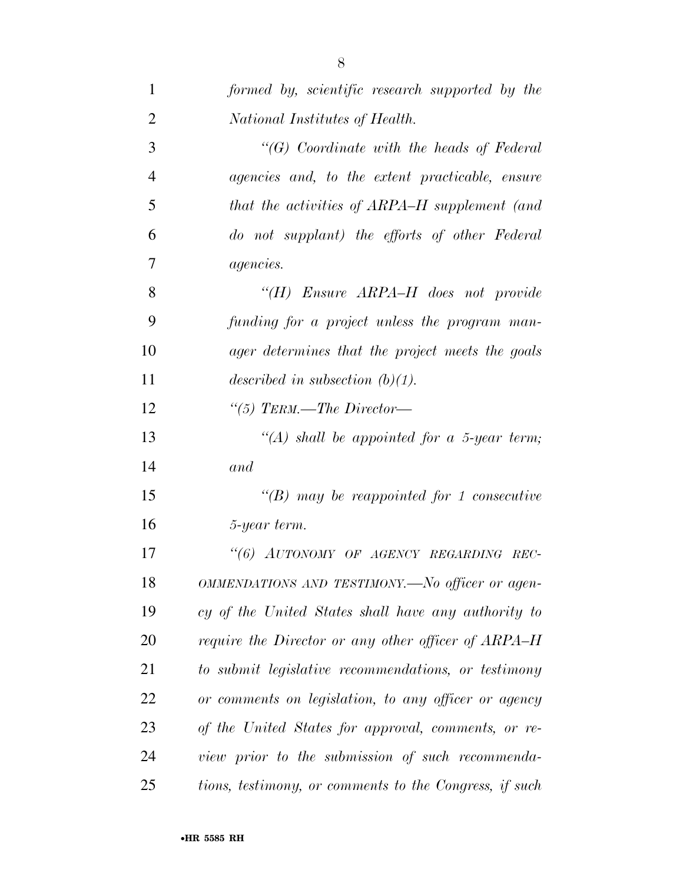| $\mathbf{1}$   | formed by, scientific research supported by the        |
|----------------|--------------------------------------------------------|
| $\overline{2}$ | National Institutes of Health.                         |
| 3              | $\lq\lq G$ Coordinate with the heads of Federal        |
| $\overline{4}$ | agencies and, to the extent practicable, ensure        |
| 5              | that the activities of ARPA–H supplement (and          |
| 6              | do not supplant) the efforts of other Federal          |
| $\overline{7}$ | <i>agencies.</i>                                       |
| 8              | "(H) Ensure $ARPA-H$ does not provide                  |
| 9              | funding for a project unless the program man-          |
| 10             | ager determines that the project meets the goals       |
| 11             | described in subsection $(b)(1)$ .                     |
| 12             | "(5) TERM.—The Director—                               |
| 13             | $\lq (A)$ shall be appointed for a 5-year term;        |
| 14             | and                                                    |
| 15             | $\lq\lq(B)$ may be reappointed for 1 consecutive       |
| 16             | 5-year term.                                           |
| 17             | "(6) AUTONOMY OF AGENCY REGARDING REC-                 |
| 18             | OMMENDATIONS AND TESTIMONY.- No officer or agen-       |
| 19             | cy of the United States shall have any authority to    |
| 20             | require the Director or any other officer of ARPA–H    |
| 21             | to submit legislative recommendations, or testimony    |
| 22             | or comments on legislation, to any officer or agency   |
| 23             | of the United States for approval, comments, or re-    |
| 24             | view prior to the submission of such recommenda-       |
| 25             | tions, testimony, or comments to the Congress, if such |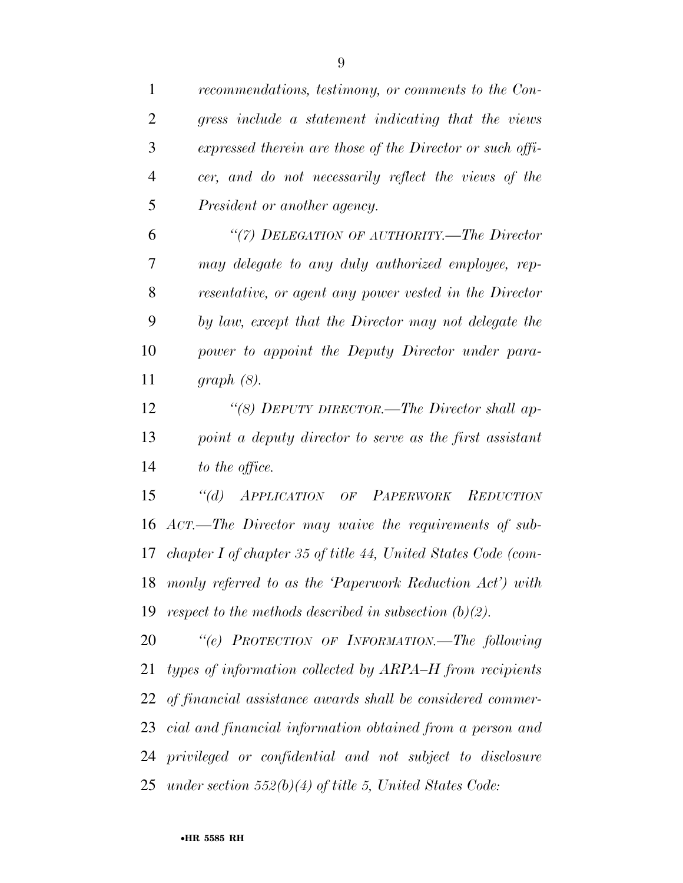| $\mathbf{1}$   | recommendations, testimony, or comments to the Con-           |
|----------------|---------------------------------------------------------------|
| $\overline{2}$ | gress include a statement indicating that the views           |
| 3              | expressed therein are those of the Director or such offi-     |
| $\overline{4}$ | cer, and do not necessarily reflect the views of the          |
| 5              | President or another agency.                                  |
| 6              | "(7) DELEGATION OF AUTHORITY.—The Director                    |
| 7              | may delegate to any duly authorized employee, rep-            |
| 8              | resentative, or agent any power vested in the Director        |
| 9              | by law, except that the Director may not delegate the         |
| 10             | power to appoint the Deputy Director under para-              |
| 11             | $graph(8)$ .                                                  |
| 12             | "(8) DEPUTY DIRECTOR.—The Director shall ap-                  |
| 13             | point a deputy director to serve as the first assistant       |
| 14             | to the office.                                                |
| 15             | APPLICATION OF PAPERWORK REDUCTION<br>$\lq (d)$               |
| 16             | ACT.—The Director may waive the requirements of sub-          |
| 17             | chapter I of chapter 35 of title 44, United States Code (com- |
|                | 18 monly referred to as the 'Paperwork Reduction Act') with   |
|                | 19 respect to the methods described in subsection $(b)(2)$ .  |
| 20             | "(e) PROTECTION OF INFORMATION.—The following                 |
| 21             | types of information collected by ARPA–H from recipients      |
|                | 22 of financial assistance awards shall be considered commer- |
|                | 23 cial and financial information obtained from a person and  |
|                | 24 privileged or confidential and not subject to disclosure   |
|                |                                                               |

*under section 552(b)(4) of title 5, United States Code:*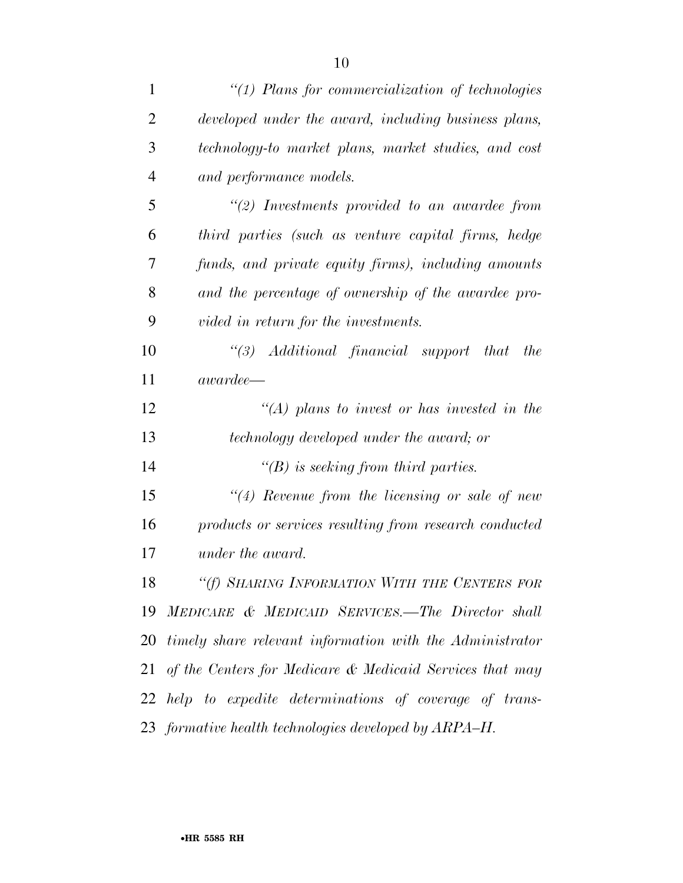| 1              | $"(1)$ Plans for commercialization of technologies          |
|----------------|-------------------------------------------------------------|
| $\overline{2}$ | developed under the award, including business plans,        |
| 3              | technology-to market plans, market studies, and cost        |
| $\overline{4}$ | and performance models.                                     |
| 5              | $\lq(2)$ Investments provided to an awardee from            |
| 6              | third parties (such as venture capital firms, hedge         |
| 7              | funds, and private equity firms), including amounts         |
| 8              | and the percentage of ownership of the awardee pro-         |
| 9              | vided in return for the investments.                        |
| 10             | $\lq(3)$ Additional financial support that<br><i>the</i>    |
| 11             | $awardee$ —                                                 |
| 12             | "(A) plans to invest or has invested in the                 |
| 13             | technology developed under the award; or                    |
| 14             | $\lq\lq(B)$ is seeking from third parties.                  |
| 15             | $"(4)$ Revenue from the licensing or sale of new            |
| 16             | products or services resulting from research conducted      |
| 17             | under the award.                                            |
| 18             | "(f) SHARING INFORMATION WITH THE CENTERS FOR               |
| 19             | MEDICARE & MEDICAID SERVICES.—The Director shall            |
|                | 20 timely share relevant information with the Administrator |
|                | 21 of the Centers for Medicare & Medicaid Services that may |
|                | 22 help to expedite determinations of coverage of trans-    |
|                | 23 formative health technologies developed by ARPA–H.       |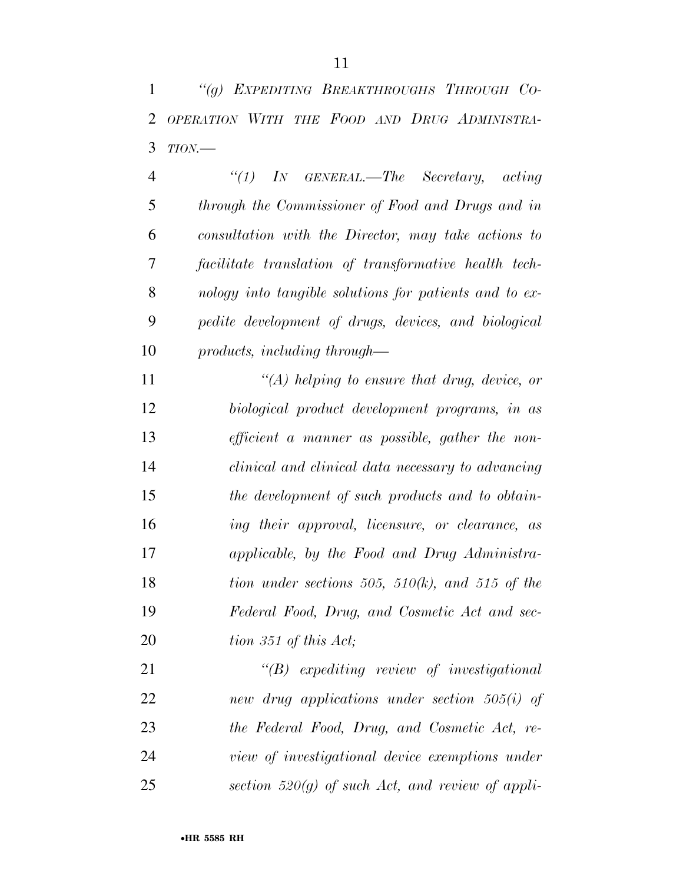*''(g) EXPEDITING BREAKTHROUGHS THROUGH CO- OPERATION WITH THE FOOD AND DRUG ADMINISTRA-TION.—* 

 *''(1) IN GENERAL.—The Secretary, acting through the Commissioner of Food and Drugs and in consultation with the Director, may take actions to facilitate translation of transformative health tech- nology into tangible solutions for patients and to ex- pedite development of drugs, devices, and biological products, including through—* 

 *''(A) helping to ensure that drug, device, or biological product development programs, in as efficient a manner as possible, gather the non- clinical and clinical data necessary to advancing the development of such products and to obtain- ing their approval, licensure, or clearance, as applicable, by the Food and Drug Administra- tion under sections 505, 510(k), and 515 of the Federal Food, Drug, and Cosmetic Act and sec-tion 351 of this Act;* 

 *''(B) expediting review of investigational new drug applications under section 505(i) of the Federal Food, Drug, and Cosmetic Act, re- view of investigational device exemptions under section 520(g) of such Act, and review of appli-*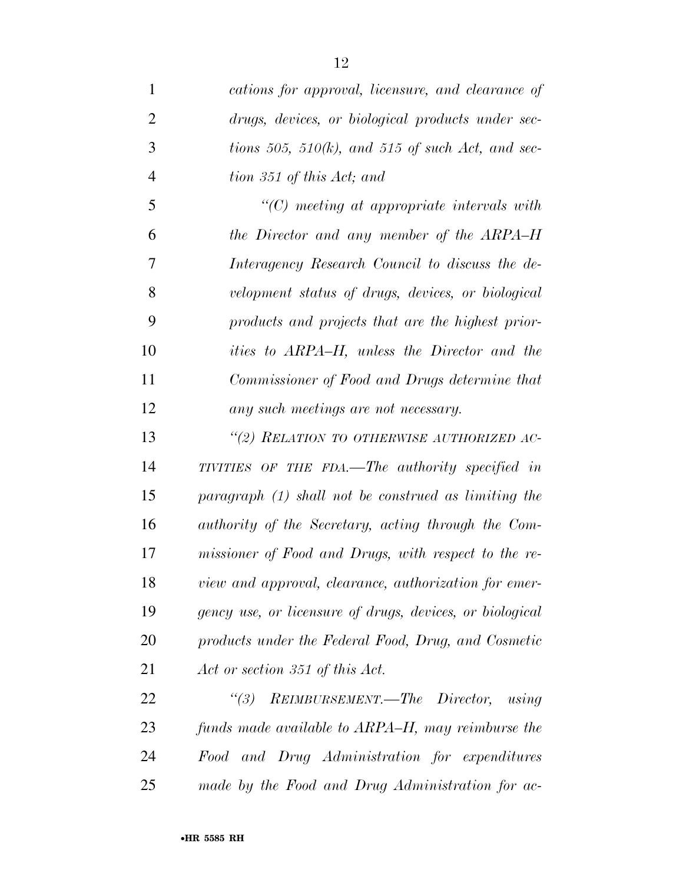| 1              | cations for approval, licensure, and clearance of        |
|----------------|----------------------------------------------------------|
| $\overline{2}$ | drugs, devices, or biological products under sec-        |
| 3              | tions 505, 510 $(k)$ , and 515 of such Act, and sec-     |
| $\overline{4}$ | tion 351 of this Act; and                                |
| 5              | $\lq\lq C$ meeting at appropriate intervals with         |
| 6              | the Director and any member of the ARPA–H                |
| 7              | Interagency Research Council to discuss the de-          |
| 8              | velopment status of drugs, devices, or biological        |
| 9              | products and projects that are the highest prior-        |
| 10             | <i>ities to ARPA–H, unless the Director and the</i>      |
| 11             | Commissioner of Food and Drugs determine that            |
| 12             | any such meetings are not necessary.                     |
| 13             | "(2) RELATION TO OTHERWISE AUTHORIZED AC-                |
| 14             | TIVITIES OF THE FDA.—The authority specified in          |
| 15             | paragraph (1) shall not be construed as limiting the     |
| 16             | authority of the Secretary, acting through the Com-      |
| 17             | missioner of Food and Drugs, with respect to the re-     |
| 18             | view and approval, clearance, authorization for emer-    |
| 19             | gency use, or licensure of drugs, devices, or biological |
| 20             | products under the Federal Food, Drug, and Cosmetic      |
| 21             | Act or section 351 of this Act.                          |
| 22             | "(3) REIMBURSEMENT.—The Director, using                  |
| 23             | funds made available to ARPA–H, may reimburse the        |
| 24             | Food and Drug Administration for expenditures            |
| 25             | made by the Food and Drug Administration for ac-         |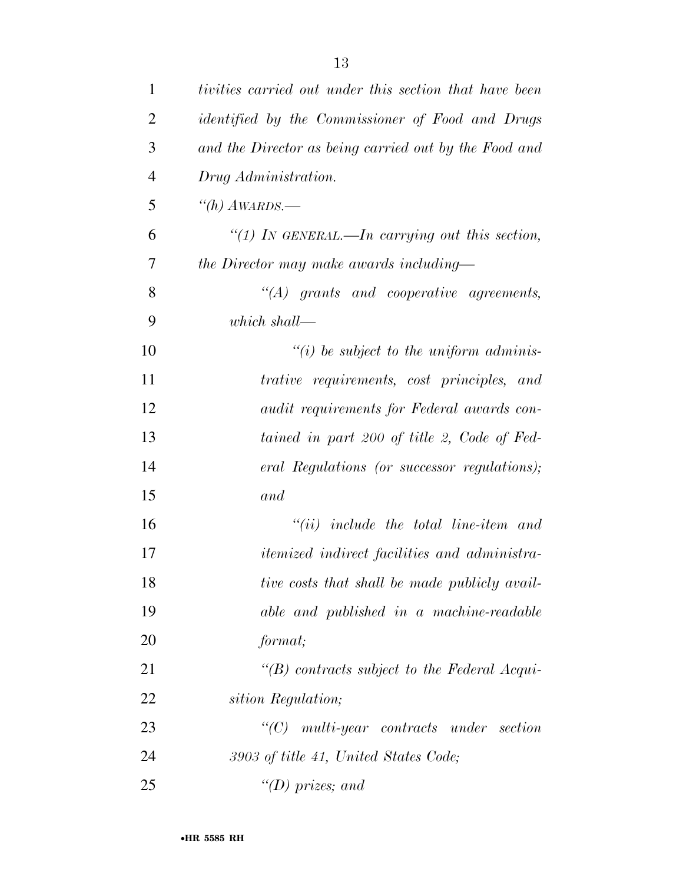| 1              | tivities carried out under this section that have been  |
|----------------|---------------------------------------------------------|
| $\overline{2}$ | <i>identified by the Commissioner of Food and Drugs</i> |
| 3              | and the Director as being carried out by the Food and   |
| $\overline{4}$ | Drug Administration.                                    |
| 5              | "(h) $A\text{WARDS}$ .                                  |
| 6              | "(1) In GENERAL.—In carrying out this section,          |
| 7              | the Director may make awards including—                 |
| 8              | $\lq\lq (A)$ grants and cooperative agreements,         |
| 9              | which shall—                                            |
| 10             | $\lq\lq(i)$ be subject to the uniform adminis-          |
| 11             | trative requirements, cost principles, and              |
| 12             | <i>audit requirements for Federal awards con-</i>       |
| 13             | tained in part 200 of title 2, Code of Fed-             |
| 14             | eral Regulations (or successor regulations);            |
| 15             | and                                                     |
| 16             | $``(ii)$ include the total line-item and                |
| 17             | <i>itemized indirect facilities and administra-</i>     |
| 18             | tive costs that shall be made publicly avail-           |
| 19             | able and published in a machine-readable                |
| 20             | format;                                                 |
| 21             | $\lq\lq(B)$ contracts subject to the Federal Acqui-     |
| 22             | sition Regulation;                                      |
| 23             | $"$ (C) multi-year contracts under section              |
| 24             | 3903 of title 41, United States Code;                   |
| 25             | "(D) prizes; and                                        |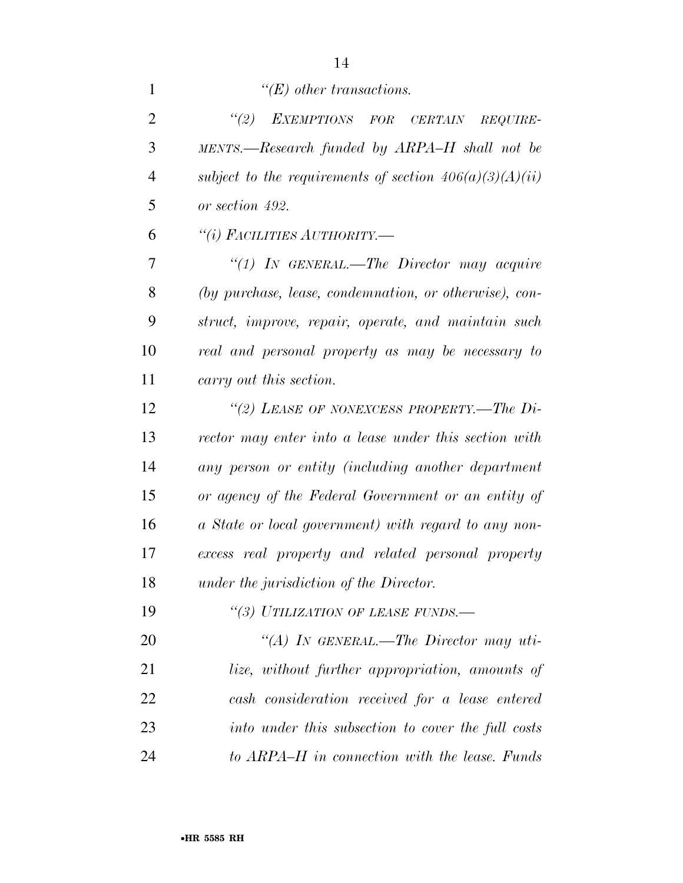| $\mathbf{1}$   | $\lq\lq(E)$ other transactions.                           |
|----------------|-----------------------------------------------------------|
| $\overline{2}$ | EXEMPTIONS FOR CERTAIN<br>(2)<br>$REQUIRE-$               |
| 3              | MENTS.—Research funded by ARPA-H shall not be             |
| $\overline{4}$ | subject to the requirements of section $406(a)(3)(A)(ii)$ |
| 5              | or section 492.                                           |
| 6              | "(i) FACILITIES AUTHORITY.—                               |
| 7              | "(1) IN GENERAL.—The Director may acquire                 |
| 8              | (by purchase, lease, condemnation, or otherwise), con-    |
| 9              | struct, improve, repair, operate, and maintain such       |
| 10             | real and personal property as may be necessary to         |
| 11             | carry out this section.                                   |
| 12             | "(2) LEASE OF NONEXCESS PROPERTY.—The $Di-$               |
| 13             | rector may enter into a lease under this section with     |
| 14             | any person or entity (including another department        |
| 15             | or agency of the Federal Government or an entity of       |
| 16             | a State or local government) with regard to any non-      |
| 17             | excess real property and related personal property        |
| 18             | under the jurisdiction of the Director.                   |
| 19             | "(3) UTILIZATION OF LEASE FUNDS.-                         |
| 20             | "(A) IN GENERAL.—The Director may uti-                    |
| 21             | <i>lize</i> , without further appropriation, amounts of   |
| 22             | cash consideration received for a lease entered           |
| 23             | into under this subsection to cover the full costs        |
| 24             | to ARPA–H in connection with the lease. Funds             |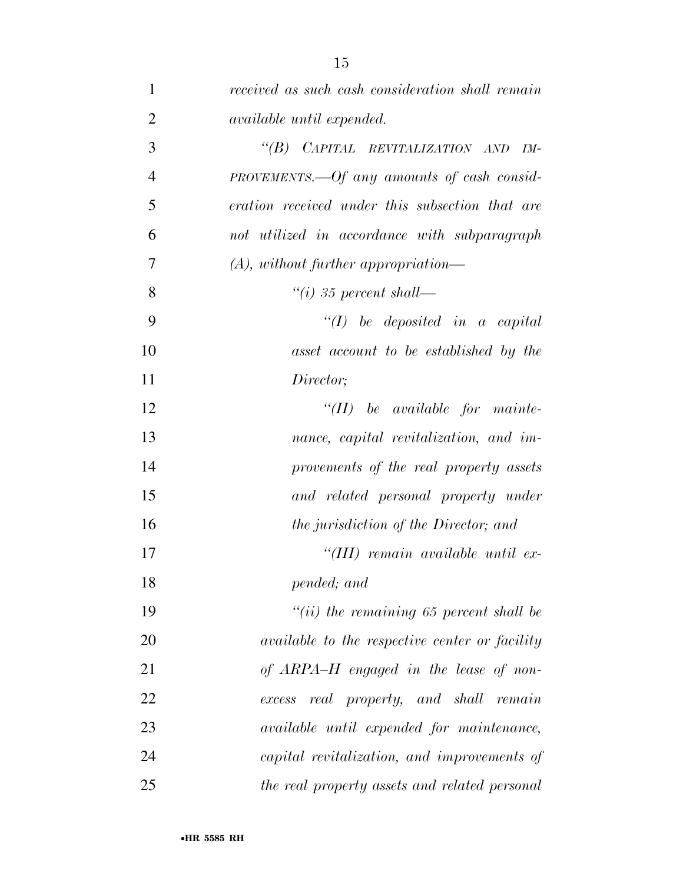| $\mathbf{1}$   | received as such cash consideration shall remain |
|----------------|--------------------------------------------------|
| $\overline{2}$ | <i>available until expended.</i>                 |
| 3              | "(B) CAPITAL REVITALIZATION AND<br>$IM-$         |
| $\overline{4}$ | $PROVEMENTS.$ $-Of$ any amounts of cash consid-  |
| 5              | eration received under this subsection that are  |
| 6              | not utilized in accordance with subparagraph     |
| 7              | $(A)$ , without further appropriation—           |
| 8              | $\lq\lq(i)$ 35 percent shall—                    |
| 9              | $\lq (I)$ be deposited in a capital              |
| 10             | asset account to be established by the           |
| 11             | Director;                                        |
| 12             | $``(II)$ be available for mainte-                |
| 13             | nance, capital revitalization, and im-           |
| 14             | provements of the real property assets           |
| 15             | and related personal property under              |
| 16             | the jurisdiction of the Director; and            |
| 17             | "(III) remain available until ex-                |
| 18             | pended; and                                      |
| 19             | $``(ii)$ the remaining 65 percent shall be       |
| 20             | available to the respective center or facility   |
| 21             | of ARPA-H engaged in the lease of non-           |
| 22             | real property, and shall remain<br>excess        |
| 23             | available until expended for maintenance,        |
| 24             | capital revitalization, and improvements of      |
| 25             | the real property assets and related personal    |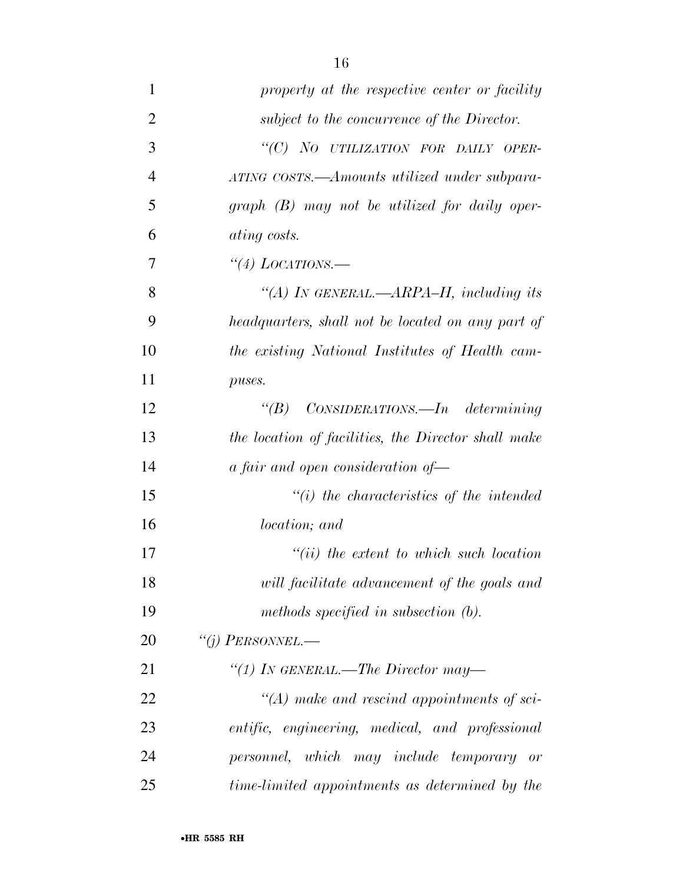| $\mathbf{1}$   | property at the respective center or facility       |
|----------------|-----------------------------------------------------|
| $\overline{2}$ | subject to the concurrence of the Director.         |
| 3              | "(C) NO UTILIZATION FOR DAILY OPER-                 |
| $\overline{4}$ | ATING COSTS.—Amounts utilized under subpara-        |
| 5              | $graph$ (B) may not be utilized for daily oper-     |
| 6              | <i>ating costs.</i>                                 |
| 7              | "(4) LOCATIONS.—                                    |
| 8              | "(A) IN GENERAL.— $ARPA-H$ , including its          |
| 9              | headquarters, shall not be located on any part of   |
| 10             | the existing National Institutes of Health cam-     |
| 11             | puses.                                              |
| 12             | " $(B)$ CONSIDERATIONS.—In determining              |
| 13             | the location of facilities, the Director shall make |
| 14             | a fair and open consideration of-                   |
| 15             | $"(i)$ the characteristics of the intended          |
| 16             | <i>location</i> ; and                               |
| 17             | $``(ii)$ the extent to which such location          |
| 18             | will facilitate advancement of the goals and        |
| 19             | methods specified in subsection $(b)$ .             |
| 20             | "(j) PERSONNEL.—                                    |
| 21             | "(1) IN GENERAL.—The Director may—                  |
| 22             | $\lq (A)$ make and rescind appointments of sci-     |
| 23             | entific, engineering, medical, and professional     |
| 24             | personnel, which may include temporary or           |
| 25             | time-limited appointments as determined by the      |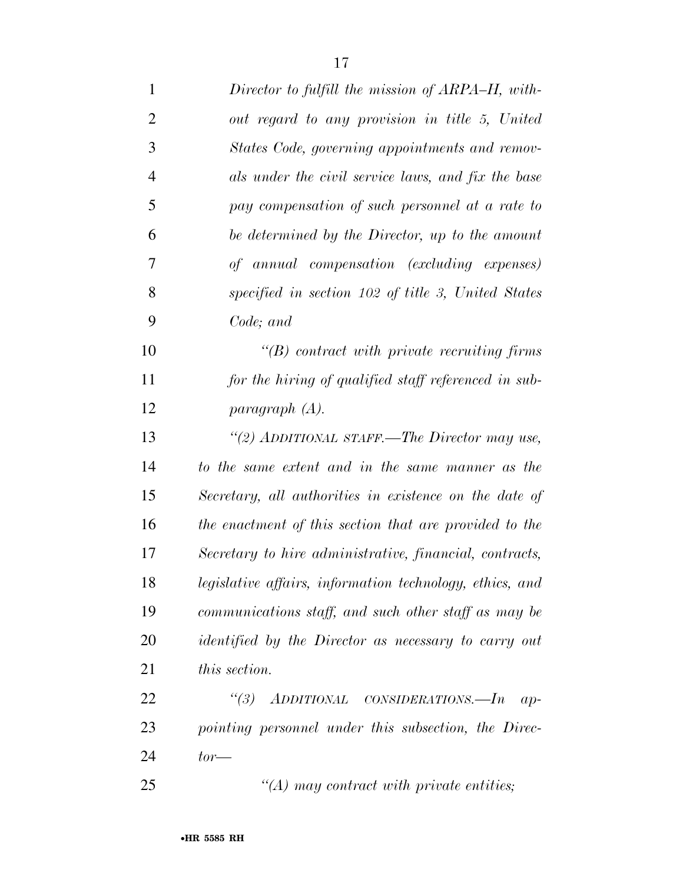| $\mathbf{1}$   | Director to fulfill the mission of ARPA–H, with-            |
|----------------|-------------------------------------------------------------|
| $\overline{2}$ | out regard to any provision in title 5, United              |
| 3              | States Code, governing appointments and remov-              |
| $\overline{4}$ | als under the civil service laws, and fix the base          |
| 5              | pay compensation of such personnel at a rate to             |
| 6              | be determined by the Director, up to the amount             |
| 7              | of annual compensation (excluding expenses)                 |
| 8              | specified in section 102 of title 3, United States          |
| 9              | Code; and                                                   |
| 10             | $\lq\lq B$ contract with private recruiting firms           |
| 11             | for the hiring of qualified staff referenced in sub-        |
| 12             | paragnph(A).                                                |
| 13             | "(2) ADDITIONAL STAFF.—The Director may use,                |
| 14             | to the same extent and in the same manner as the            |
| 15             | Secretary, all authorities in existence on the date of      |
| 16             | the enactment of this section that are provided to the      |
| 17             | Secretary to hire administrative, financial, contracts,     |
| 18             | legislative affairs, information technology, ethics, and    |
| 19             | communications staff, and such other staff as may be        |
| 20             | <i>identified by the Director as necessary to carry out</i> |
| 21             | this section.                                               |
| 22             | "(3) ADDITIONAL CONSIDERATIONS.—In<br>$ap-$                 |
| 23             | pointing personnel under this subsection, the Direc-        |
| 24             | $tor$ —                                                     |
| 25             | $\lq (A)$ may contract with private entities;               |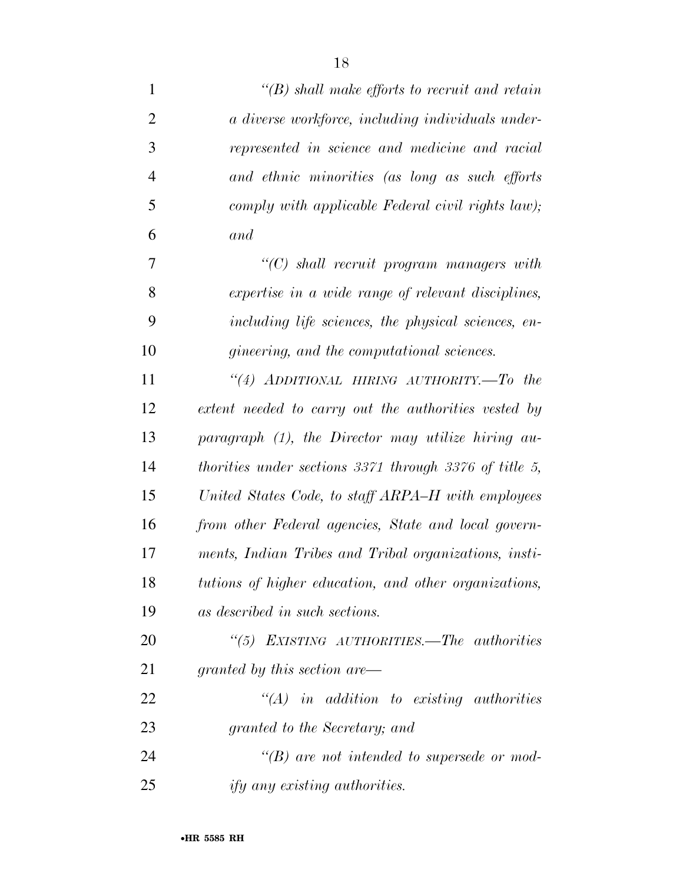| $\mathbf{1}$   | $\lq\lq(B)$ shall make efforts to recruit and retain   |
|----------------|--------------------------------------------------------|
| $\overline{2}$ | a diverse workforce, including individuals under-      |
| 3              | represented in science and medicine and racial         |
| $\overline{4}$ | and ethnic minorities (as long as such efforts         |
| 5              | comply with applicable Federal civil rights law);      |
| 6              | and                                                    |
| $\tau$         | "(C) shall recruit program managers with               |
| 8              | expertise in a wide range of relevant disciplines,     |
| 9              | including life sciences, the physical sciences, en-    |
| 10             | <i>gineering, and the computational sciences.</i>      |
| 11             | "(4) ADDITIONAL HIRING AUTHORITY.—To the               |
| 12             | extent needed to carry out the authorities vested by   |
| 13             | paragraph (1), the Director may utilize hiring au-     |
| 14             | thorities under sections 3371 through 3376 of title 5, |
| 15             | United States Code, to staff ARPA–H with employees     |
| 16             | from other Federal agencies, State and local govern-   |
| 17             | ments, Indian Tribes and Tribal organizations, insti-  |
| 18             | tutions of higher education, and other organizations,  |
| 19             | as described in such sections.                         |
| 20             | "(5) EXISTING AUTHORITIES.—The authorities             |
| 21             | granted by this section are—                           |
| 22             | $\lq\lq (A)$ in addition to existing authorities       |
| 23             | granted to the Secretary; and                          |
| 24             | $\lq\lq(B)$ are not intended to supersede or mod-      |
| 25             | <i>ify any existing authorities.</i>                   |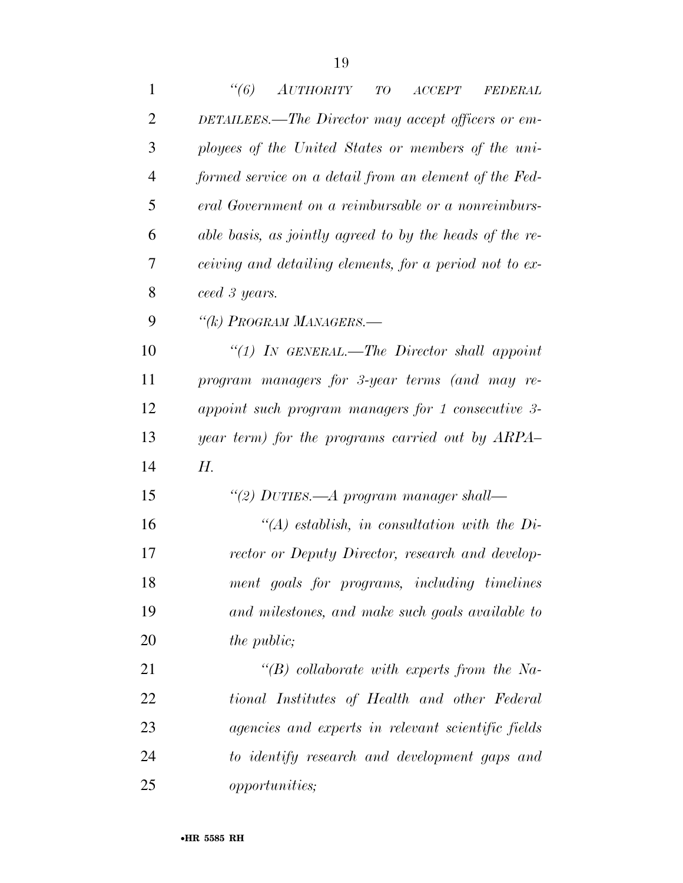| $\mathbf{1}$   | $\lq(6)$<br><b>AUTHORITY</b><br>T O<br>$\begin{array}{c} ACCEPT \end{array}$<br><b>FEDERAL</b> |
|----------------|------------------------------------------------------------------------------------------------|
| $\overline{2}$ | DETAILEES.—The Director may accept officers or em-                                             |
| 3              | ployees of the United States or members of the uni-                                            |
| $\overline{4}$ | formed service on a detail from an element of the Fed-                                         |
| 5              | eral Government on a reimbursable or a nonreimburs-                                            |
| 6              | able basis, as jointly agreed to by the heads of the re-                                       |
| 7              | ceiving and detailing elements, for a period not to ex-                                        |
| 8              | ceed 3 years.                                                                                  |
| 9              | "(k) PROGRAM MANAGERS.—                                                                        |
| 10             | "(1) IN GENERAL.—The Director shall appoint                                                    |
| 11             | program managers for 3-year terms (and may re-                                                 |
| 12             | appoint such program managers for 1 consecutive 3-                                             |
| 13             | year term) for the programs carried out by ARPA                                                |
| 14             | Н.                                                                                             |
| 15             | "(2) DUTIES.—A program manager shall—                                                          |
| 16             | $\lq (A)$ establish, in consultation with the Di-                                              |
| 17             | rector or Deputy Director, research and develop-                                               |
| 18             | ment goals for programs, including timelines                                                   |
| 19             | and milestones, and make such goals available to                                               |
| 20             | the public;                                                                                    |
| 21             | $\lq\lq B$ collaborate with experts from the Na-                                               |
| 22             | tional Institutes of Health and other Federal                                                  |
| 23             | agencies and experts in relevant scientific fields                                             |
| 24             | to identify research and development gaps and                                                  |
| 25             | <i>opportunities</i> ;                                                                         |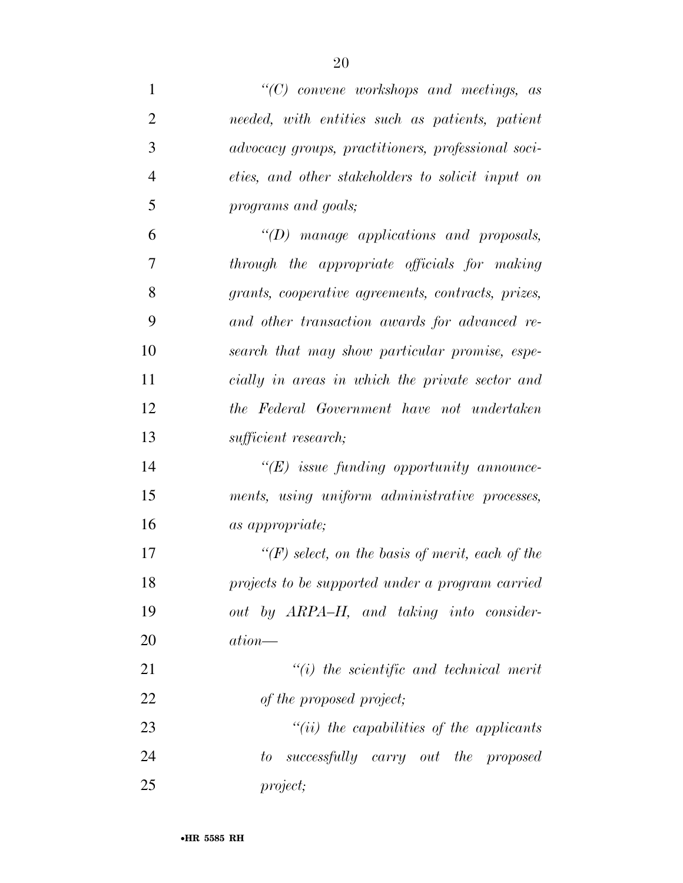| $\mathbf{1}$   | $\lq\lq C$ convene workshops and meetings, as        |
|----------------|------------------------------------------------------|
| $\overline{2}$ | needed, with entities such as patients, patient      |
| 3              | advocacy groups, practitioners, professional soci-   |
| 4              | eties, and other stakeholders to solicit input on    |
| 5              | programs and goals;                                  |
| 6              | $\lq (D)$ manage applications and proposals,         |
| 7              | through the appropriate officials for making         |
| 8              | grants, cooperative agreements, contracts, prizes,   |
| 9              | and other transaction awards for advanced re-        |
| 10             | search that may show particular promise, espe-       |
| 11             | cially in areas in which the private sector and      |
| 12             | the Federal Government have not undertaken           |
| 13             | sufficient research;                                 |
| 14             | $\lq\lq (E)$ issue funding opportunity announce-     |
| 15             | ments, using uniform administrative processes,       |
| 16             | <i>as appropriate</i> ;                              |
| 17             | $\lq (F)$ select, on the basis of merit, each of the |
| 18             | projects to be supported under a program carried     |
| 19             | out by ARPA–H, and taking into consider-             |
| 20             | $ation$ —                                            |
| 21             | $``(i)$ the scientific and technical merit           |
| 22             | of the proposed project;                             |
| 23             | $``(ii)$ the capabilities of the applicants          |
| 24             | successfully carry out the proposed<br>to            |
| 25             | project;                                             |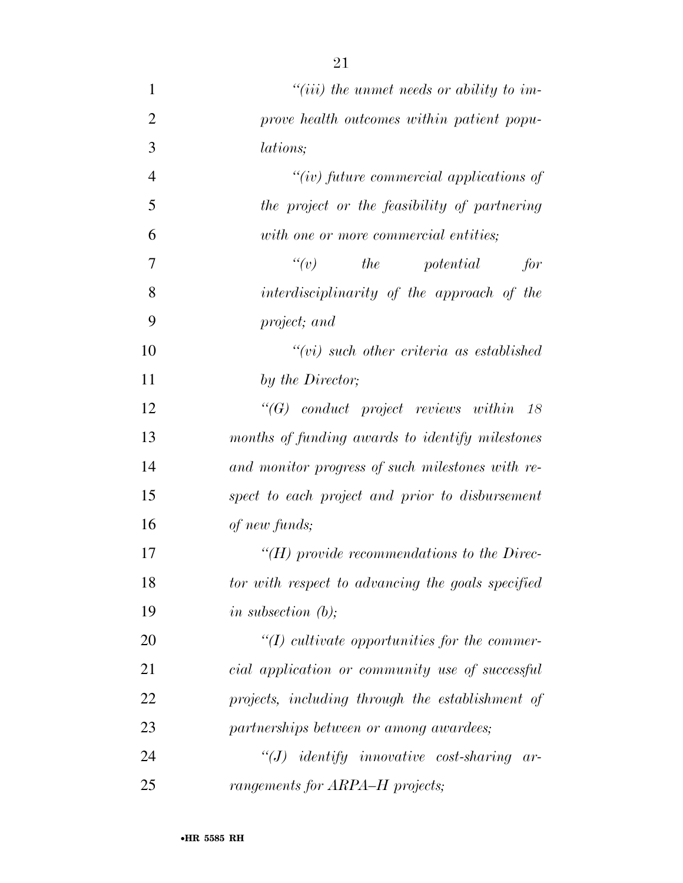- *''(iii) the unmet needs or ability to im- prove health outcomes within patient popu- lations; ''(iv) future commercial applications of the project or the feasibility of partnering with one or more commercial entities; ''(v) the potential for interdisciplinarity of the approach of the project; and ''(vi) such other criteria as established by the Director; ''(G) conduct project reviews within 18 months of funding awards to identify milestones and monitor progress of such milestones with re- spect to each project and prior to disbursement of new funds; ''(H) provide recommendations to the Direc- tor with respect to advancing the goals specified in subsection (b); ''(I) cultivate opportunities for the commer- cial application or community use of successful projects, including through the establishment of partnerships between or among awardees; ''(J) identify innovative cost-sharing ar-*
- *rangements for ARPA–H projects;*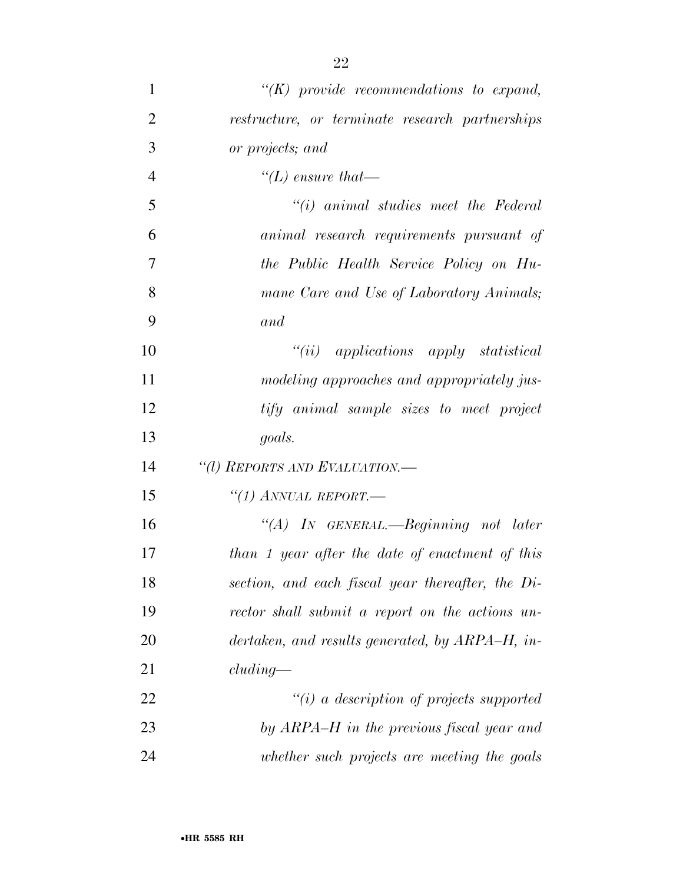| $\mathbf{1}$   | $\lq\lq (K)$ provide recommendations to expand,   |
|----------------|---------------------------------------------------|
| $\overline{2}$ | restructure, or terminate research partnerships   |
| 3              | or projects; and                                  |
| $\overline{4}$ | "(L) ensure that—                                 |
| 5              | $"(i)$ animal studies meet the Federal            |
| 6              | animal research requirements pursuant of          |
| 7              | the Public Health Service Policy on Hu-           |
| 8              | mane Care and Use of Laboratory Animals;          |
| 9              | and                                               |
| 10             | $``(ii)$ applications apply statistical           |
| 11             | modeling approaches and appropriately jus-        |
| 12             | tify animal sample sizes to meet project          |
| 13             | goals.                                            |
| 14             | "(1) REPORTS AND EVALUATION.-                     |
| 15             | "(1) ANNUAL REPORT.                               |
| 16             | "(A) IN GENERAL.—Beginning not later              |
| 17             | than 1 year after the date of enactment of this   |
| 18             | section, and each fiscal year thereafter, the Di- |
| 19             | rector shall submit a report on the actions un-   |
| 20             | dertaken, and results generated, by ARPA–H, in-   |
| 21             | cluding                                           |
| 22             | $"(i)$ a description of projects supported        |
| 23             | by ARPA–H in the previous fiscal year and         |
| 24             | whether such projects are meeting the goals       |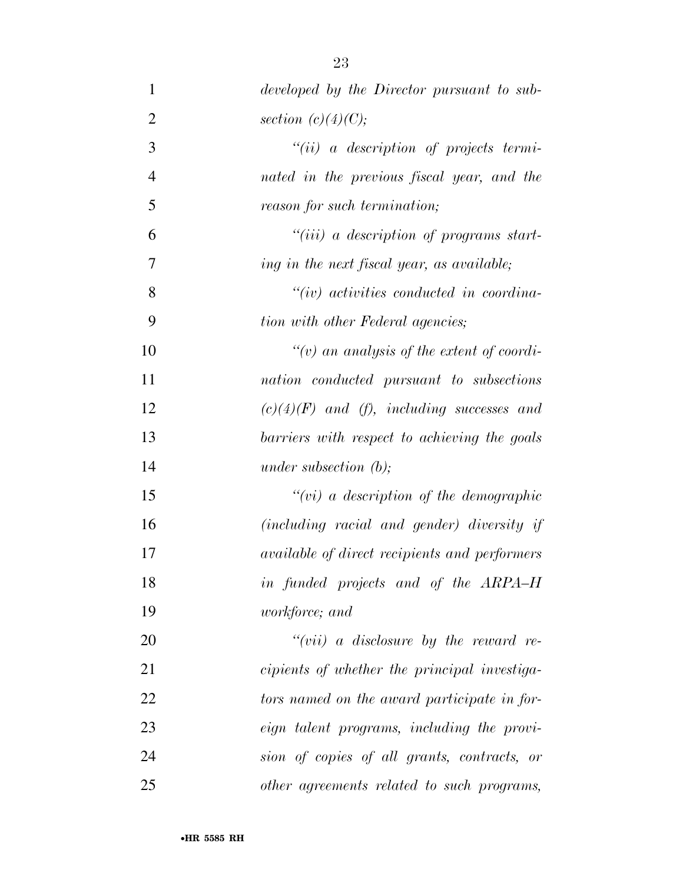| $\mathbf{1}$   | developed by the Director pursuant to sub-           |
|----------------|------------------------------------------------------|
| $\overline{2}$ | section $(c)(4)(C);$                                 |
| 3              | $``(ii)$ a description of projects termi-            |
| $\overline{4}$ | nated in the previous fiscal year, and the           |
| 5              | reason for such termination;                         |
| 6              | $``(iii)$ a description of programs start-           |
| 7              | ing in the next fiscal year, as available;           |
| 8              | $``(iv)$ activities conducted in coordina-           |
| 9              | tion with other Federal agencies;                    |
| 10             | "(v) an analysis of the extent of coordi-            |
| 11             | nation conducted pursuant to subsections             |
| 12             | $(c)(4)(F)$ and (f), including successes and         |
| 13             | barriers with respect to achieving the goals         |
| 14             | under subsection $(b)$ ;                             |
| 15             | $``(vi)$ a description of the demographic            |
| 16             | (including racial and gender) diversity if           |
| 17             | <i>available of direct recipients and performers</i> |
| 18             | in funded projects and of the ARPA-H                 |
| 19             | <i>workforce</i> ; and                               |
| 20             | " $(vii)$ a disclosure by the reward re-             |
| 21             | cipients of whether the principal investiga-         |
| 22             | tors named on the award participate in for-          |
| 23             | eign talent programs, including the provi-           |
| 24             | sion of copies of all grants, contracts, or          |
| 25             | other agreements related to such programs,           |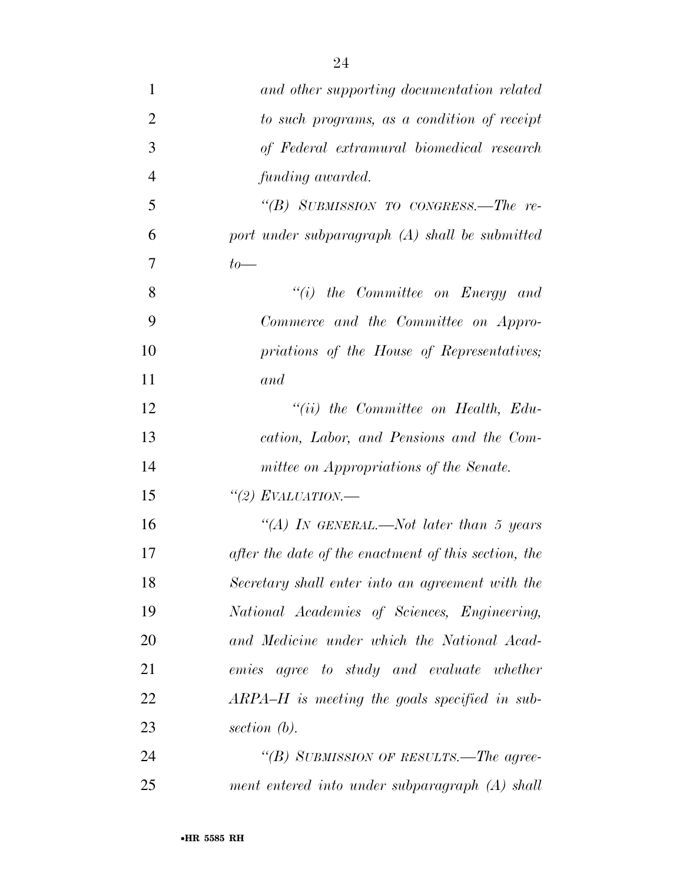| $\mathbf{1}$   | and other supporting documentation related           |
|----------------|------------------------------------------------------|
| $\overline{2}$ | to such programs, as a condition of receipt          |
| 3              | of Federal extramural biomedical research            |
| $\overline{4}$ | funding awarded.                                     |
| 5              | "(B) SUBMISSION TO CONGRESS.—The re-                 |
| 6              | port under subparagraph (A) shall be submitted       |
| 7              | $to-$                                                |
| 8              | $"(i)$ the Committee on Energy and                   |
| 9              | Commerce and the Committee on Appro-                 |
| 10             | priations of the House of Representatives;           |
| 11             | and                                                  |
| 12             | $``(ii)$ the Committee on Health, Edu-               |
| 13             | cation, Labor, and Pensions and the Com-             |
| 14             | mittee on Appropriations of the Senate.              |
| 15             | "(2) EVALUATION.—                                    |
| 16             | "(A) IN GENERAL.—Not later than 5 years              |
| 17             | after the date of the enactment of this section, the |
| 18             | Secretary shall enter into an agreement with the     |
| 19             | National Academies of Sciences, Engineering,         |
| 20             | and Medicine under which the National Acad-          |
| 21             | emies agree to study and evaluate whether            |
| 22             | $ARPA-H$ is meeting the goals specified in sub-      |
| 23             | section $(b)$ .                                      |
| 24             | "(B) SUBMISSION OF RESULTS.—The agree-               |
| 25             | ment entered into under subparagraph (A) shall       |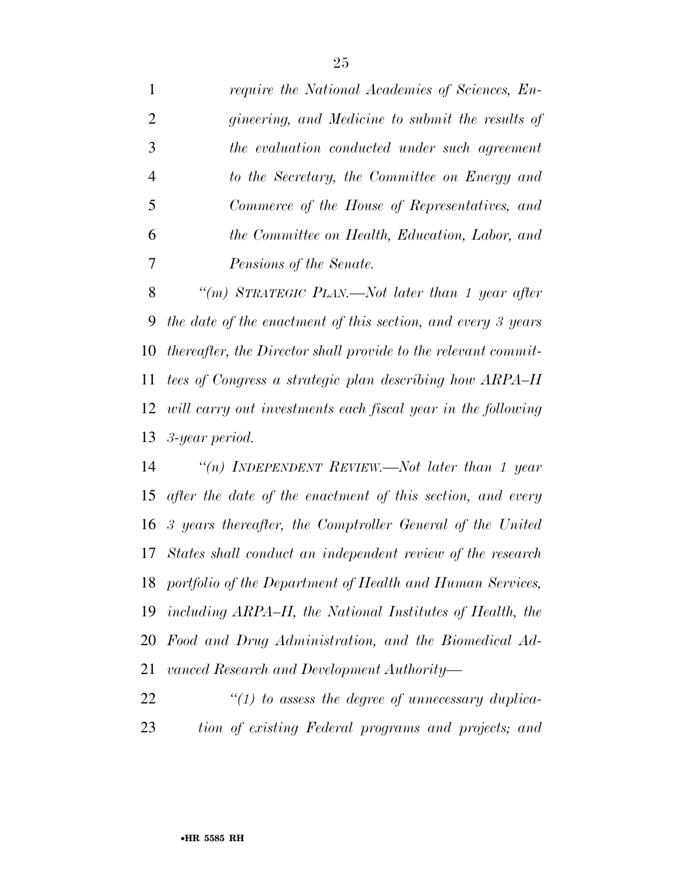*require the National Academies of Sciences, En- gineering, and Medicine to submit the results of the evaluation conducted under such agreement to the Secretary, the Committee on Energy and Commerce of the House of Representatives, and the Committee on Health, Education, Labor, and Pensions of the Senate.* 

 *''(m) STRATEGIC PLAN.—Not later than 1 year after the date of the enactment of this section, and every 3 years thereafter, the Director shall provide to the relevant commit- tees of Congress a strategic plan describing how ARPA–H will carry out investments each fiscal year in the following 3-year period.* 

 *''(n) INDEPENDENT REVIEW.—Not later than 1 year after the date of the enactment of this section, and every 3 years thereafter, the Comptroller General of the United States shall conduct an independent review of the research portfolio of the Department of Health and Human Services, including ARPA–H, the National Institutes of Health, the Food and Drug Administration, and the Biomedical Ad-vanced Research and Development Authority—* 

 *''(1) to assess the degree of unnecessary duplica-tion of existing Federal programs and projects; and*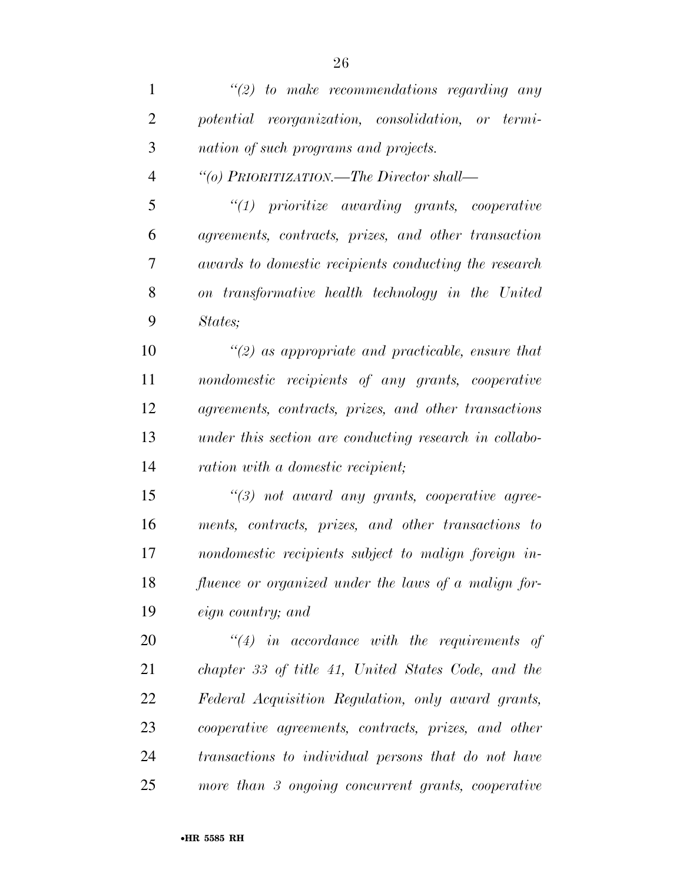| $\mathbf{1}$   | $\lq(2)$ to make recommendations regarding any           |
|----------------|----------------------------------------------------------|
| $\overline{2}$ | potential reorganization, consolidation, or termi-       |
| 3              | nation of such programs and projects.                    |
| $\overline{4}$ | "(o) PRIORITIZATION.—The Director shall—                 |
| 5              | $"(1)$ prioritize awarding grants, cooperative           |
| 6              | agreements, contracts, prizes, and other transaction     |
| 7              | awards to domestic recipients conducting the research    |
| 8              | on transformative health technology in the United        |
| 9              | States;                                                  |
| 10             | $\lq(2)$ as appropriate and practicable, ensure that     |
| 11             | nondomestic recipients of any grants, cooperative        |
| 12             | agreements, contracts, prizes, and other transactions    |
| 13             | under this section are conducting research in collabo-   |
| 14             | ration with a domestic recipient;                        |
| 15             | $\lq(3)$ not award any grants, cooperative agree-        |
| 16             | ments, contracts, prizes, and other transactions to      |
| 17             | nondomestic recipients subject to malign foreign in-     |
| 18             | fluence or organized under the laws of a malign for-     |
| 19             | eign country; and                                        |
| 20             | $\lq(4)$ in accordance with the requirements of          |
| 21             | chapter 33 of title 41, United States Code, and the      |
| 22             | Federal Acquisition Regulation, only award grants,       |
| 23             | cooperative agreements, contracts, prizes, and other     |
| 24             | transactions to individual persons that do not have      |
| 25             | more than $\beta$ ongoing concurrent grants, cooperative |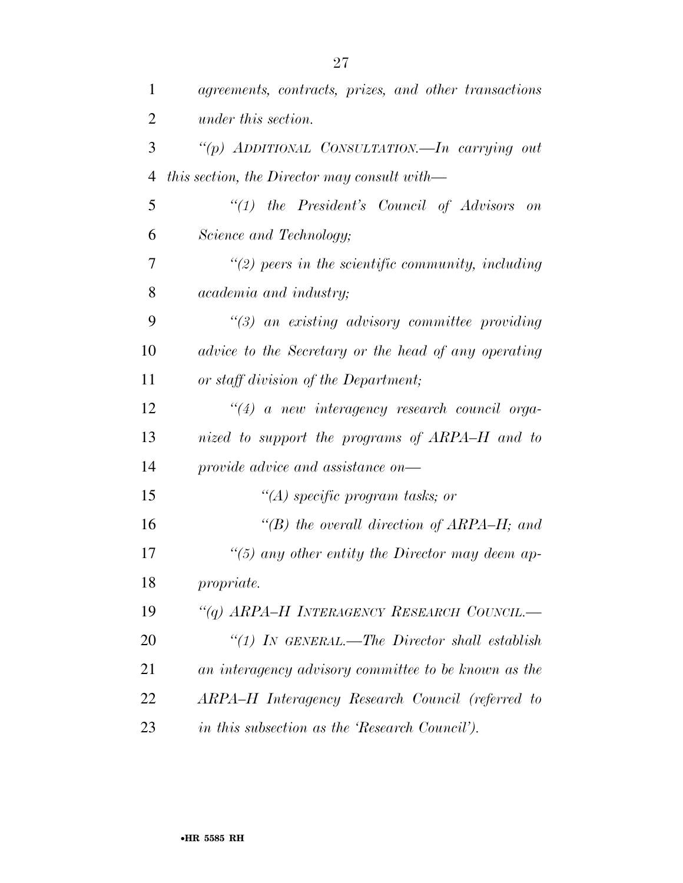| 1              | agreements, contracts, prizes, and other transactions           |
|----------------|-----------------------------------------------------------------|
| $\overline{2}$ | under this section.                                             |
| 3              | "(p) ADDITIONAL CONSULTATION.—In carrying out                   |
| $\overline{4}$ | this section, the Director may consult with—                    |
| 5              | $\lq(1)$ the President's Council of Advisors<br>$\overline{on}$ |
| 6              | Science and Technology;                                         |
| 7              | $\lq(2)$ peers in the scientific community, including           |
| 8              | academia and industry;                                          |
| 9              | $\lq(3)$ an existing advisory committee providing               |
| 10             | advice to the Secretary or the head of any operating            |
| 11             | or staff division of the Department;                            |
| 12             | $\lq(4)$ a new interagency research council orga-               |
| 13             | nized to support the programs of ARPA–H and to                  |
| 14             | provide advice and assistance on—                               |
| 15             | "(A) specific program tasks; or                                 |
| 16             | "(B) the overall direction of ARPA–H; and                       |
| 17             | $\lq(5)$ any other entity the Director may deem ap-             |
| 18             | propriate.                                                      |
| 19             | "(q) ARPA-H INTERAGENCY RESEARCH COUNCIL.-                      |
| 20             | "(1) IN GENERAL.—The Director shall establish                   |
| 21             | an interagency advisory committee to be known as the            |
| 22             | ARPA-H Interagency Research Council (referred to                |
| 23             | in this subsection as the 'Research Council').                  |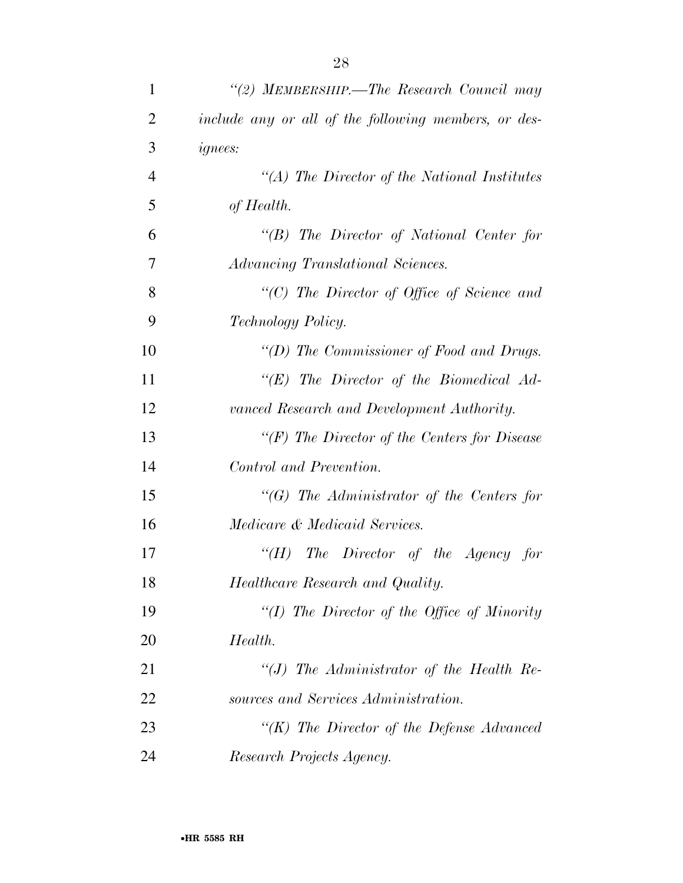| $\mathbf{1}$   | "(2) MEMBERSHIP.—The Research Council may            |
|----------------|------------------------------------------------------|
| $\overline{2}$ | include any or all of the following members, or des- |
| 3              | <i>ignees:</i>                                       |
| $\overline{4}$ | "(A) The Director of the National Institutes         |
| 5              | of Health.                                           |
| 6              | $\lq\lq B$ The Director of National Center for       |
| 7              | Advancing Translational Sciences.                    |
| 8              | "(C) The Director of Office of Science and           |
| 9              | Technology Policy.                                   |
| 10             | "( $D$ ) The Commissioner of Food and Drugs.         |
| 11             | " $(E)$ The Director of the Biomedical Ad-           |
| 12             | vanced Research and Development Authority.           |
| 13             | " $(F)$ The Director of the Centers for Disease"     |
| 14             | Control and Prevention.                              |
| 15             | $\lq\lq G$ ) The Administrator of the Centers for    |
| 16             | Medicare & Medicaid Services.                        |
| 17             | " $(H)$ The Director of the Agency for               |
| 18             | Healthcare Research and Quality.                     |
| 19             | "(I) The Director of the Office of Minority          |
| 20             | Health.                                              |
| 21             | "(J) The Administrator of the Health Re-             |
| 22             | sources and Services Administration.                 |
| 23             | "(K) The Director of the Defense Advanced            |
| 24             | Research Projects Agency.                            |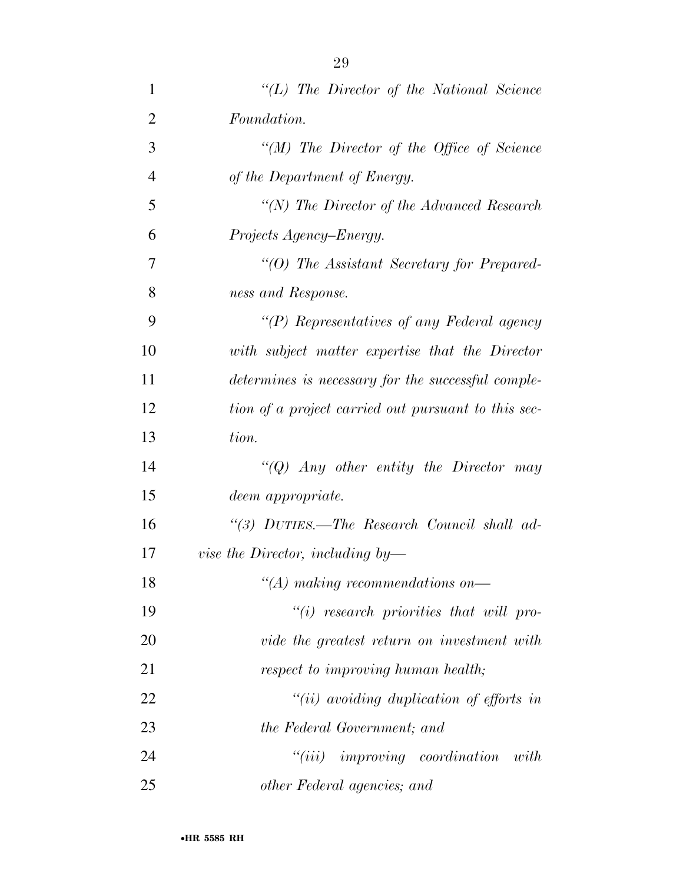| $\mathbf{1}$   | $\lq\lq L$ ) The Director of the National Science   |
|----------------|-----------------------------------------------------|
| $\overline{2}$ | Foundation.                                         |
| 3              | "(M) The Director of the Office of Science"         |
| $\overline{4}$ | of the Department of Energy.                        |
| 5              | $\lq (N)$ The Director of the Advanced Research     |
| 6              | Projects Agency–Energy.                             |
| 7              | "(O) The Assistant Secretary for Prepared-          |
| 8              | ness and Response.                                  |
| 9              | "(P) Representatives of any Federal agency          |
| 10             | with subject matter expertise that the Director     |
| 11             | determines is necessary for the successful comple-  |
| 12             | tion of a project carried out pursuant to this sec- |
| 13             | tion.                                               |
| 14             | "(Q) Any other entity the Director may              |
| 15             | deem appropriate.                                   |
| 16             | "(3) DUTIES.—The Research Council shall ad-         |
| 17             | <i>vise the Director, including by</i> —            |
| 18             | $\lq (A)$ making recommendations on—                |
| 19             | $``(i)$ research priorities that will pro-          |
| 20             | vide the greatest return on investment with         |
| 21             | respect to improving human health;                  |
| 22             | "(ii) avoiding duplication of efforts in            |
| 23             | the Federal Government; and                         |
| 24             | $``(iii)$ improving coordination<br>with            |
| 25             | other Federal agencies; and                         |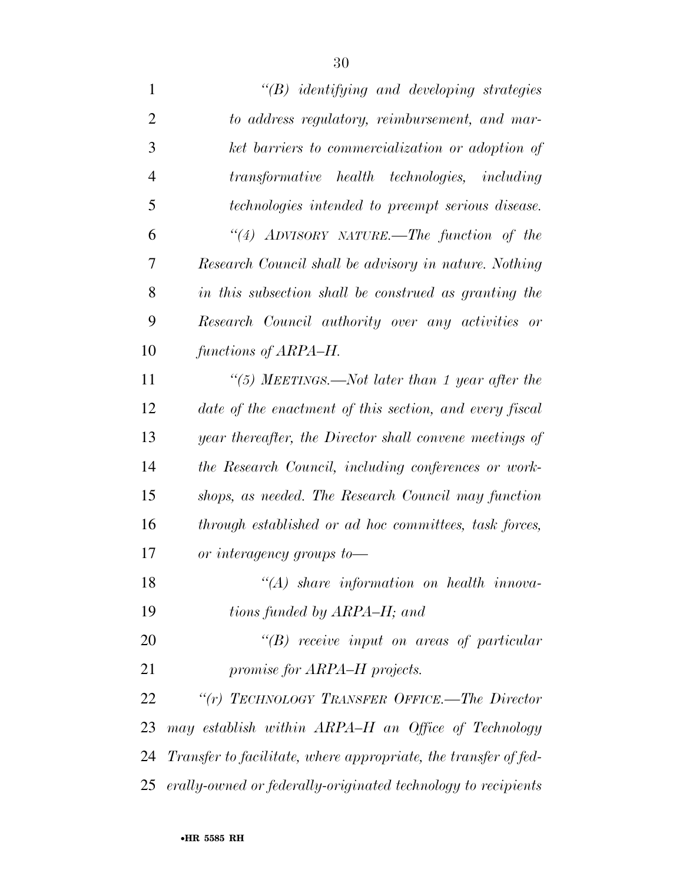| $\lq\lq B$ identifying and developing strategies                 |
|------------------------------------------------------------------|
| to address regulatory, reimbursement, and mar-                   |
| ket barriers to commercialization or adoption of                 |
| transformative health technologies, including                    |
| technologies intended to preempt serious disease.                |
| "(4) ADVISORY NATURE.—The function of the                        |
| Research Council shall be advisory in nature. Nothing            |
| in this subsection shall be construed as granting the            |
| Research Council authority over any activities or                |
| functions of ARPA–H.                                             |
| "(5) MEETINGS.—Not later than 1 year after the                   |
| date of the enactment of this section, and every fiscal          |
| year thereafter, the Director shall convene meetings of          |
| the Research Council, including conferences or work-             |
| shops, as needed. The Research Council may function              |
| through established or ad hoc committees, task forces,           |
| or interagency groups to-                                        |
| $\mathcal{H}(A)$ share information on health innova-             |
| tions funded by ARPA–H; and                                      |
| $\lq\lq B$ receive input on areas of particular                  |
| promise for ARPA–H projects.                                     |
| " $(r)$ TECHNOLOGY TRANSFER OFFICE.—The Director                 |
| may establish within ARPA-H an Office of Technology              |
| Transfer to facilitate, where appropriate, the transfer of fed-  |
| 25 erally-owned or federally-originated technology to recipients |
|                                                                  |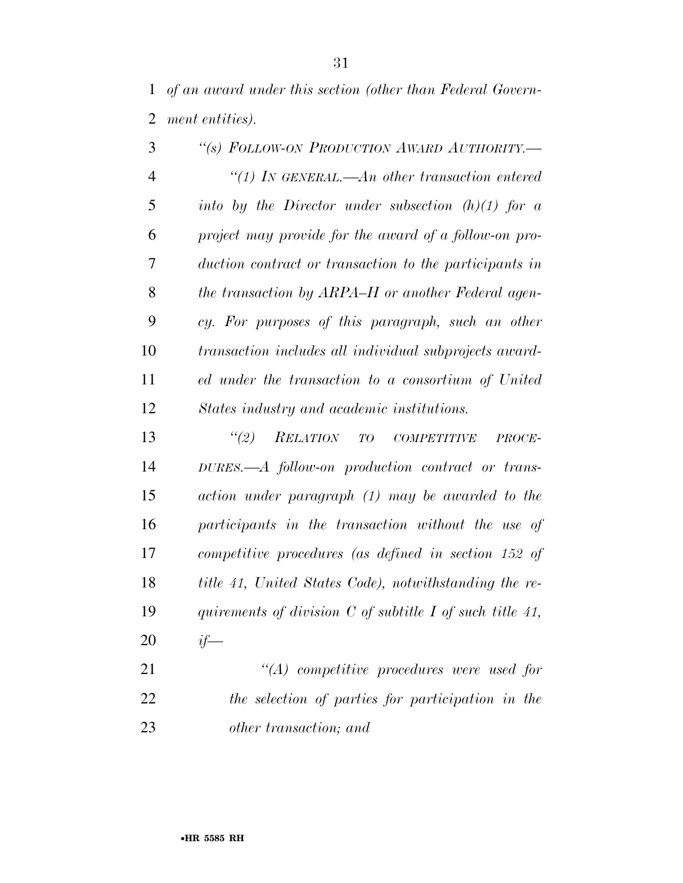*of an award under this section (other than Federal Govern-ment entities).* 

| 3              | "(s) FOLLOW-ON PRODUCTION AWARD AUTHORITY.-            |
|----------------|--------------------------------------------------------|
| $\overline{4}$ | "(1) In GENERAL.—An other transaction entered          |
| 5              | into by the Director under subsection $(h)(1)$ for a   |
| 6              | project may provide for the award of a follow-on pro-  |
| 7              | duction contract or transaction to the participants in |
| 8              | the transaction by ARPA–H or another Federal agen-     |
| 9              | cy. For purposes of this paragraph, such an other      |
| 10             | transaction includes all individual subprojects award- |
| 11             | ed under the transaction to a consortium of United     |
| 12             | States industry and academic institutions.             |
| 13             | $\lq(2)$<br>RELATION TO COMPETITIVE<br>PROCE-          |
| 14             | DURES.—A follow-on production contract or trans-       |
| 15             | action under paragraph (1) may be awarded to the       |
| 16             | participants in the transaction without the use of     |
|                |                                                        |

 *competitive procedures (as defined in section 152 of title 41, United States Code), notwithstanding the re- quirements of division C of subtitle I of such title 41, if—* 

 *''(A) competitive procedures were used for the selection of parties for participation in the other transaction; and*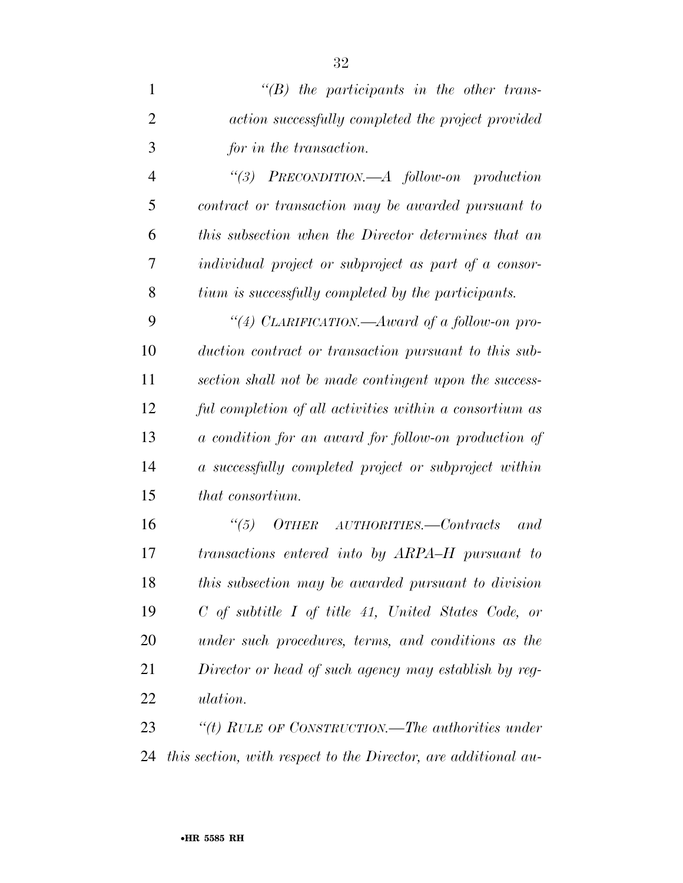| $\mathbf{1}$   | $\lq\lq B$ the participants in the other trans-         |
|----------------|---------------------------------------------------------|
| $\overline{2}$ | action successfully completed the project provided      |
| 3              | for in the transaction.                                 |
| $\overline{4}$ | "(3) $PRECONDITION. -A follow-on production$            |
| 5              | contract or transaction may be awarded pursuant to      |
| 6              | this subsection when the Director determines that an    |
| $\overline{7}$ | individual project or subproject as part of a consor-   |
| 8              | tium is successfully completed by the participants.     |
| 9              | "(4) CLARIFICATION.—Award of a follow-on pro-           |
| 10             | duction contract or transaction pursuant to this sub-   |
| 11             | section shall not be made contingent upon the success-  |
| 12             | ful completion of all activities within a consortium as |
| 13             | a condition for an award for follow-on production of    |
| 14             | a successfully completed project or subproject within   |
| 15             | that consortium.                                        |
| 16             | $O$ <i>THER AUTHORITIES.—Contracts</i><br>(5)<br>and    |
| 17             | transactions entered into by ARPA-H pursuant to         |
| 18             | this subsection may be awarded pursuant to division     |
| 19             | $C$ of subtitle I of title 41, United States Code, or   |
| 20             | under such procedures, terms, and conditions as the     |

 *Director or head of such agency may establish by reg-ulation.* 

 *''(t) RULE OF CONSTRUCTION.—The authorities under this section, with respect to the Director, are additional au-*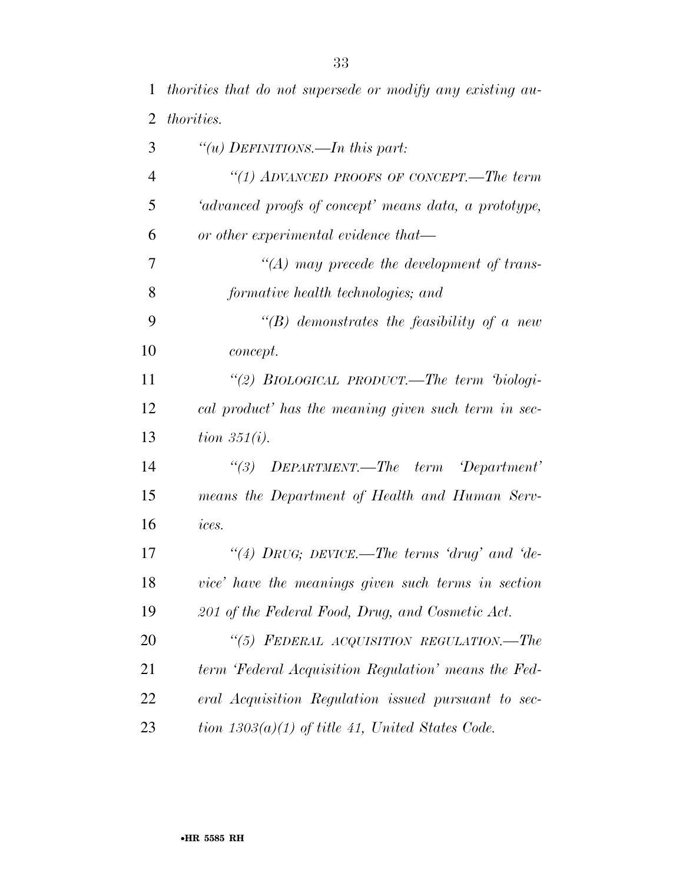*thorities that do not supersede or modify any existing au-*

| $\overline{2}$ | <i>thorities.</i>                                     |
|----------------|-------------------------------------------------------|
| 3              | "( <i>u</i> ) DEFINITIONS.—In this part:              |
| $\overline{4}$ | "(1) ADVANCED PROOFS OF CONCEPT.—The term             |
| 5              | 'advanced proofs of concept' means data, a prototype, |
| 6              | or other experimental evidence that—                  |
| 7              | $\lq (A)$ may precede the development of trans-       |
| 8              | formative health technologies; and                    |
| 9              | $\lq\lq(B)$ demonstrates the feasibility of a new     |
| 10             | <i>concept.</i>                                       |
| 11             | "(2) BIOLOGICAL PRODUCT.—The term 'biologi-           |
| 12             | cal product' has the meaning given such term in sec-  |
| 13             | tion $351(i)$ .                                       |
| 14             | "(3) DEPARTMENT.—The term 'Department'                |
| 15             | means the Department of Health and Human Serv-        |
| 16             | ices.                                                 |
| 17             | "(4) DRUG; DEVICE.—The terms 'drug' and 'de-          |
| 18             | vice' have the meanings given such terms in section   |
| 19             | 201 of the Federal Food, Drug, and Cosmetic Act.      |
| 20             | "(5) FEDERAL ACQUISITION REGULATION.-The              |
| 21             | term 'Federal Acquisition Regulation' means the Fed-  |
| 22             | eral Acquisition Regulation issued pursuant to sec-   |
| 23             | tion $1303(a)(1)$ of title 41, United States Code.    |
|                |                                                       |
|                |                                                       |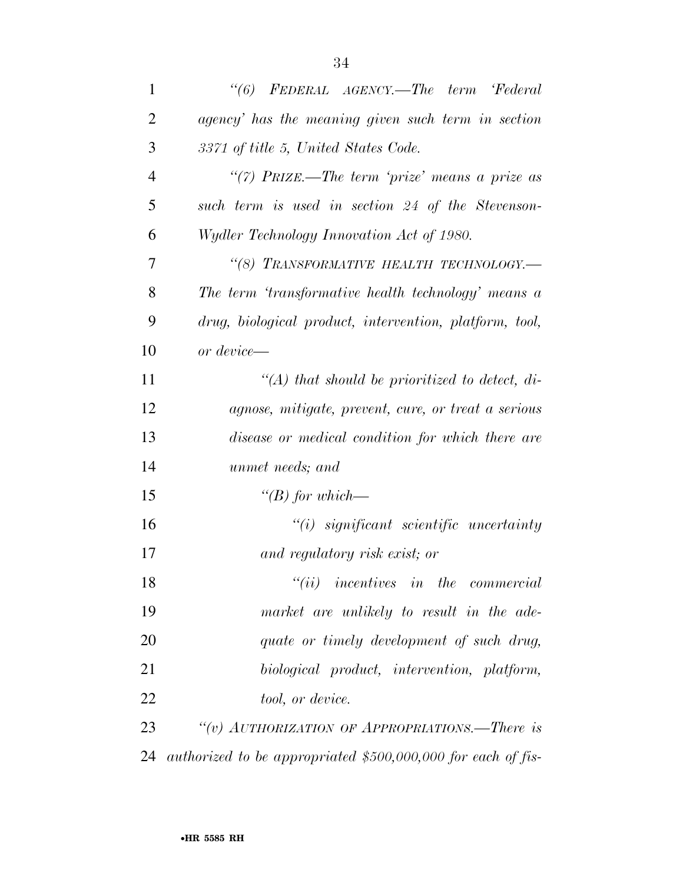| "(6) FEDERAL AGENCY.—The term 'Federal                       |
|--------------------------------------------------------------|
| agency' has the meaning given such term in section           |
| 3371 of title 5, United States Code.                         |
| "(7) PRIZE.—The term 'prize' means a prize as                |
| such term is used in section 24 of the Stevenson-            |
| Wydler Technology Innovation Act of 1980.                    |
| "(8) TRANSFORMATIVE HEALTH TECHNOLOGY.-                      |
| The term 'transformative health technology' means a          |
| drug, biological product, intervention, platform, tool,      |
| or device—                                                   |
| $\lq (A)$ that should be prioritized to detect, di-          |
| agnose, mitigate, prevent, cure, or treat a serious          |
| disease or medical condition for which there are             |
| unmet needs; and                                             |
| "(B) for which—                                              |
| $``(i)$ significant scientific uncertainty                   |
| and regulatory risk exist; or                                |
| $``(ii)$ incentives in the commercial                        |
| market are unlikely to result in the ade-                    |
| quate or timely development of such drug,                    |
| biological product, intervention, platform,                  |
| tool, or device.                                             |
| "(v) AUTHORIZATION OF APPROPRIATIONS.—There is               |
| authorized to be appropriated \$500,000,000 for each of fis- |
|                                                              |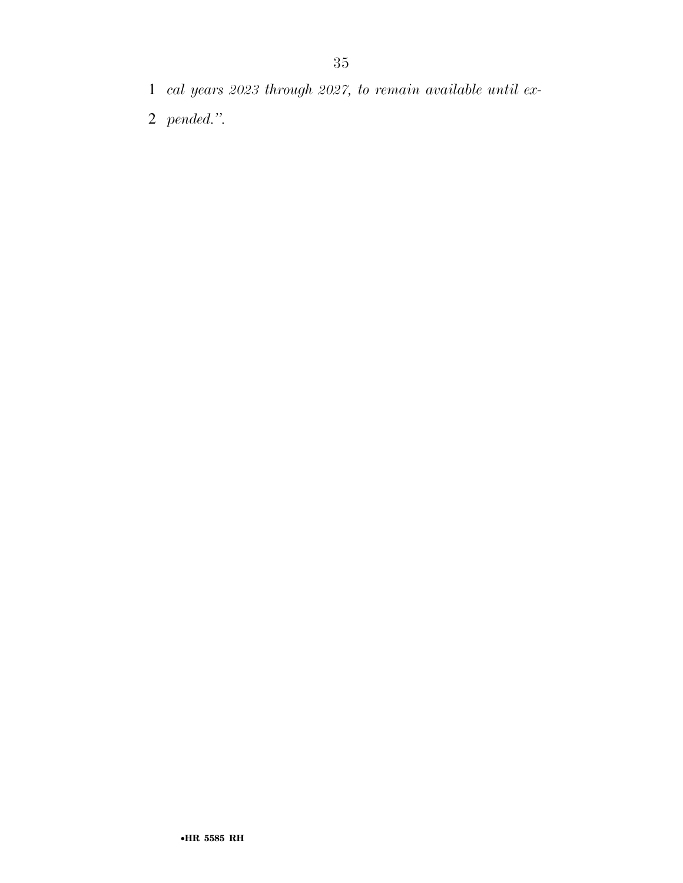- *cal years 2023 through 2027, to remain available until ex-*
- *pended.''.*